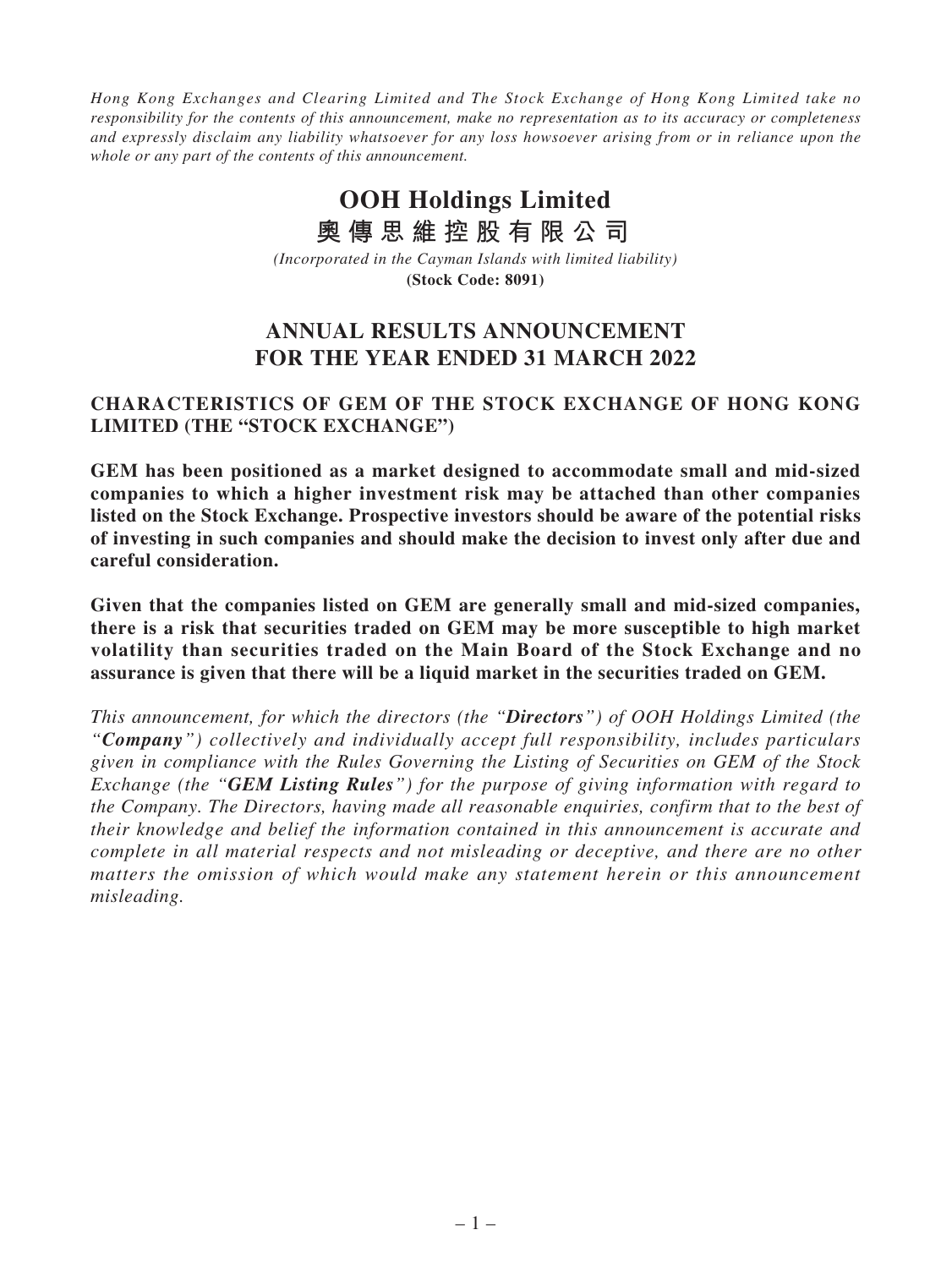*Hong Kong Exchanges and Clearing Limited and The Stock Exchange of Hong Kong Limited take no responsibility for the contents of this announcement, make no representation as to its accuracy or completeness and expressly disclaim any liability whatsoever for any loss howsoever arising from or in reliance upon the whole or any part of the contents of this announcement.*

# **OOH Holdings Limited 奧傳思維控股有限公司**

*(Incorporated in the Cayman Islands with limited liability)* **(Stock Code: 8091)**

## **ANNUAL RESULTS ANNOUNCEMENT FOR THE YEAR ENDED 31 MARCH 2022**

## **CHARACTERISTICS OF GEM OF THE STOCK EXCHANGE OF HONG KONG LIMITED (THE "STOCK EXCHANGE")**

**GEM has been positioned as a market designed to accommodate small and mid-sized companies to which a higher investment risk may be attached than other companies listed on the Stock Exchange. Prospective investors should be aware of the potential risks of investing in such companies and should make the decision to invest only after due and careful consideration.**

**Given that the companies listed on GEM are generally small and mid-sized companies, there is a risk that securities traded on GEM may be more susceptible to high market volatility than securities traded on the Main Board of the Stock Exchange and no assurance is given that there will be a liquid market in the securities traded on GEM.**

*This announcement, for which the directors (the "Directors") of OOH Holdings Limited (the "Company") collectively and individually accept full responsibility, includes particulars given in compliance with the Rules Governing the Listing of Securities on GEM of the Stock Exchange (the "GEM Listing Rules") for the purpose of giving information with regard to the Company. The Directors, having made all reasonable enquiries, confirm that to the best of their knowledge and belief the information contained in this announcement is accurate and complete in all material respects and not misleading or deceptive, and there are no other matters the omission of which would make any statement herein or this announcement misleading.*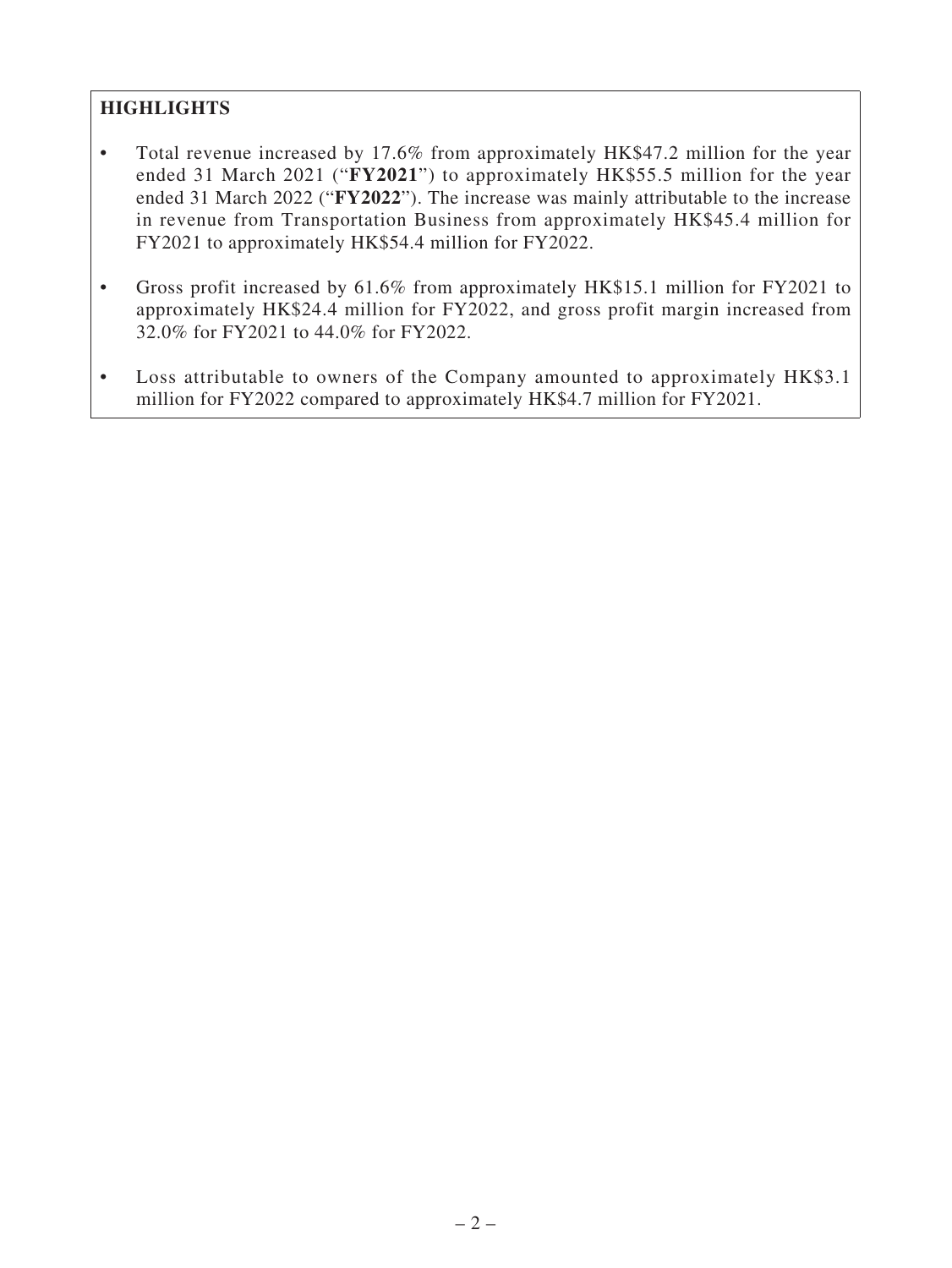## **HIGHLIGHTS**

- Total revenue increased by 17.6% from approximately HK\$47.2 million for the year ended 31 March 2021 ("**FY2021**") to approximately HK\$55.5 million for the year ended 31 March 2022 ("**FY2022**"). The increase was mainly attributable to the increase in revenue from Transportation Business from approximately HK\$45.4 million for FY2021 to approximately HK\$54.4 million for FY2022.
- Gross profit increased by 61.6% from approximately HK\$15.1 million for FY2021 to approximately HK\$24.4 million for FY2022, and gross profit margin increased from 32.0% for FY2021 to 44.0% for FY2022.
- Loss attributable to owners of the Company amounted to approximately HK\$3.1 million for FY2022 compared to approximately HK\$4.7 million for FY2021.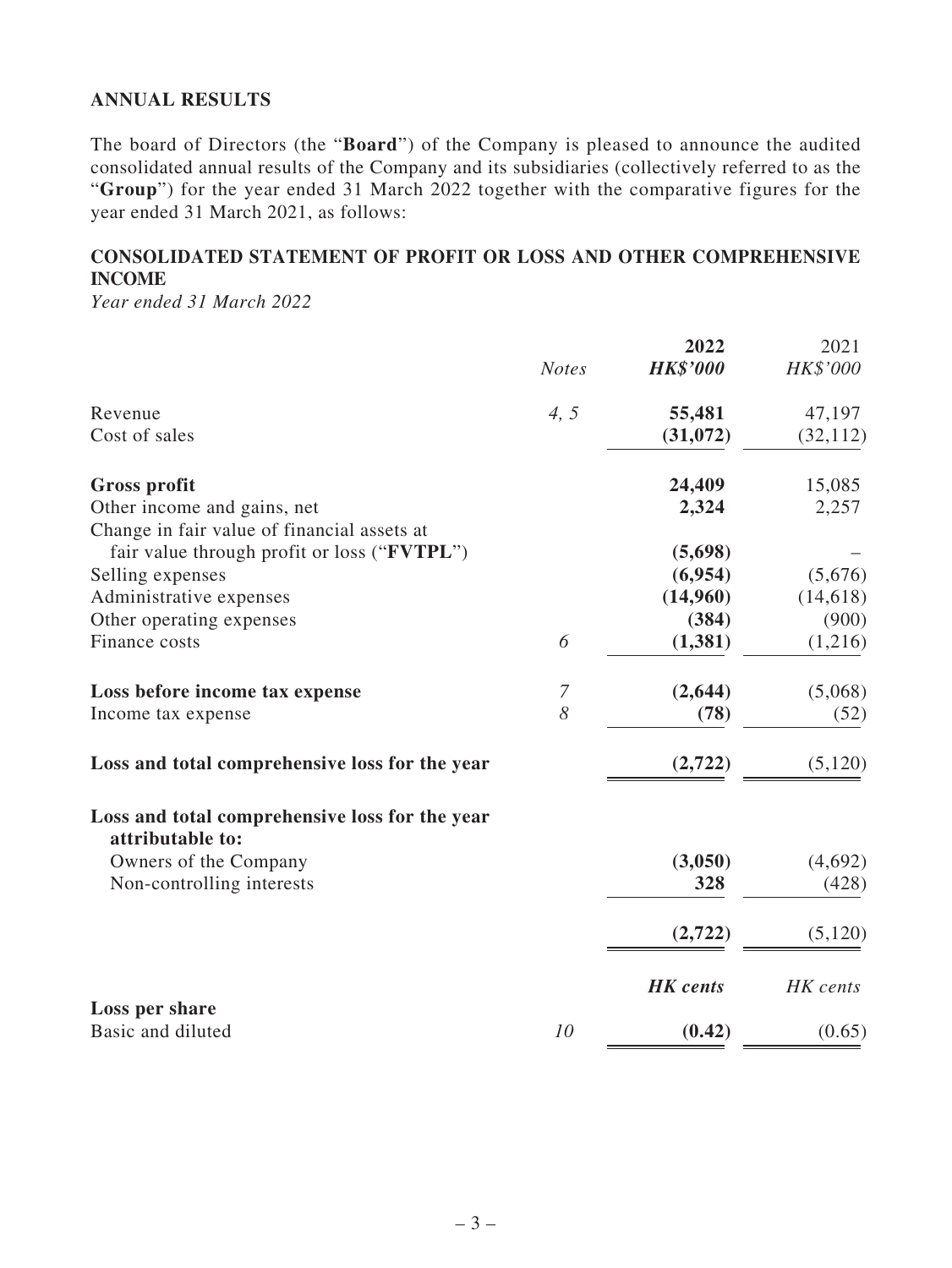## **ANNUAL RESULTS**

The board of Directors (the "**Board**") of the Company is pleased to announce the audited consolidated annual results of the Company and its subsidiaries (collectively referred to as the "**Group**") for the year ended 31 March 2022 together with the comparative figures for the year ended 31 March 2021, as follows:

## **CONSOLIDATED STATEMENT OF PROFIT OR LOSS AND OTHER COMPREHENSIVE INCOME**

*Year ended 31 March 2022*

|                                                                    |              | 2022            | 2021      |
|--------------------------------------------------------------------|--------------|-----------------|-----------|
|                                                                    | <b>Notes</b> | <b>HK\$'000</b> | HK\$'000  |
| Revenue                                                            | 4, 5         | 55,481          | 47,197    |
| Cost of sales                                                      |              | (31,072)        | (32, 112) |
| <b>Gross profit</b>                                                |              | 24,409          | 15,085    |
| Other income and gains, net                                        |              | 2,324           | 2,257     |
| Change in fair value of financial assets at                        |              |                 |           |
| fair value through profit or loss ("FVTPL")                        |              | (5,698)         |           |
| Selling expenses                                                   |              | (6,954)         | (5,676)   |
| Administrative expenses                                            |              | (14,960)        | (14, 618) |
| Other operating expenses                                           |              | (384)           | (900)     |
| Finance costs                                                      | 6            | (1, 381)        | (1,216)   |
| Loss before income tax expense                                     | 7            | (2, 644)        | (5,068)   |
| Income tax expense                                                 | 8            | (78)            | (52)      |
| Loss and total comprehensive loss for the year                     |              | (2,722)         | (5, 120)  |
| Loss and total comprehensive loss for the year<br>attributable to: |              |                 |           |
| Owners of the Company                                              |              | (3,050)         | (4,692)   |
| Non-controlling interests                                          |              | 328             | (428)     |
|                                                                    |              |                 |           |
|                                                                    |              | (2,722)         | (5,120)   |
|                                                                    |              | <b>HK</b> cents | HK cents  |
| Loss per share<br>Basic and diluted                                | 10           | (0.42)          | (0.65)    |
|                                                                    |              |                 |           |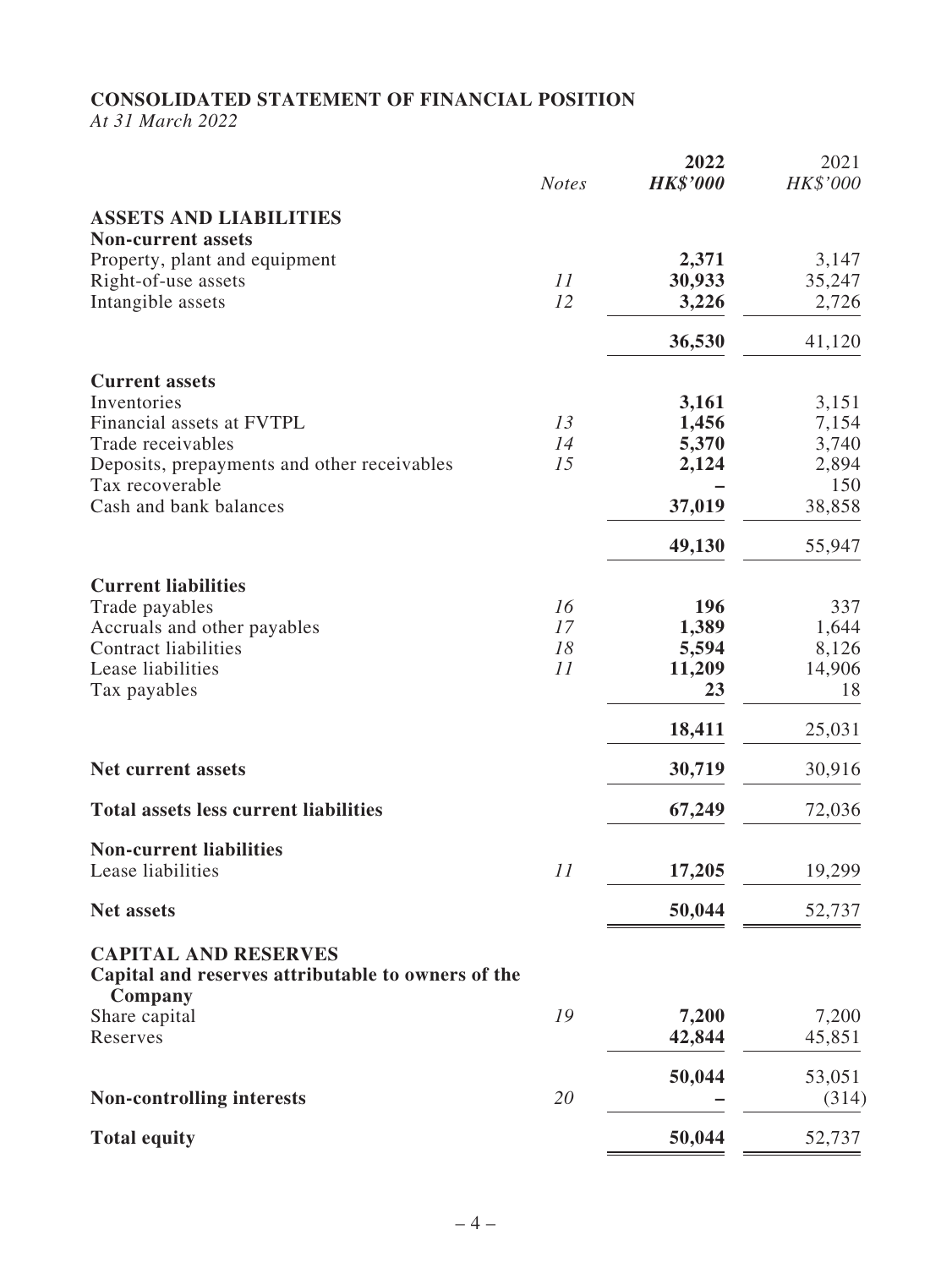### **CONSOLIDATED STATEMENT OF FINANCIAL POSITION**

*At 31 March 2022*

|                                                                                                                                                 | <b>Notes</b>         | 2022<br><b>HK\$'000</b>               | 2021<br>HK\$'000                      |
|-------------------------------------------------------------------------------------------------------------------------------------------------|----------------------|---------------------------------------|---------------------------------------|
| <b>ASSETS AND LIABILITIES</b>                                                                                                                   |                      |                                       |                                       |
| <b>Non-current assets</b><br>Property, plant and equipment<br>Right-of-use assets<br>Intangible assets                                          | 11<br>12             | 2,371<br>30,933<br>3,226              | 3,147<br>35,247<br>2,726              |
|                                                                                                                                                 |                      | 36,530                                | 41,120                                |
| <b>Current assets</b><br>Inventories<br>Financial assets at FVTPL                                                                               | 13                   | 3,161<br>1,456                        | 3,151<br>7,154                        |
| Trade receivables<br>Deposits, prepayments and other receivables<br>Tax recoverable                                                             | 14<br>15             | 5,370<br>2,124                        | 3,740<br>2,894<br>150                 |
| Cash and bank balances                                                                                                                          |                      | 37,019                                | 38,858                                |
|                                                                                                                                                 |                      | 49,130                                | 55,947                                |
| <b>Current liabilities</b><br>Trade payables<br>Accruals and other payables<br><b>Contract liabilities</b><br>Lease liabilities<br>Tax payables | 16<br>17<br>18<br>11 | 196<br>1,389<br>5,594<br>11,209<br>23 | 337<br>1,644<br>8,126<br>14,906<br>18 |
|                                                                                                                                                 |                      | 18,411                                | 25,031                                |
| <b>Net current assets</b>                                                                                                                       |                      | 30,719                                | 30,916                                |
| <b>Total assets less current liabilities</b>                                                                                                    |                      | 67,249                                | 72,036                                |
| <b>Non-current liabilities</b><br>Lease liabilities                                                                                             | 11                   | 17,205                                | 19,299                                |
| <b>Net assets</b>                                                                                                                               |                      | 50,044                                | 52,737                                |
| <b>CAPITAL AND RESERVES</b><br>Capital and reserves attributable to owners of the<br>Company                                                    |                      |                                       |                                       |
| Share capital<br>Reserves                                                                                                                       | 19                   | 7,200<br>42,844                       | 7,200<br>45,851                       |
| <b>Non-controlling interests</b>                                                                                                                | 20                   | 50,044                                | 53,051<br>(314)                       |
| <b>Total equity</b>                                                                                                                             |                      | 50,044                                | 52,737                                |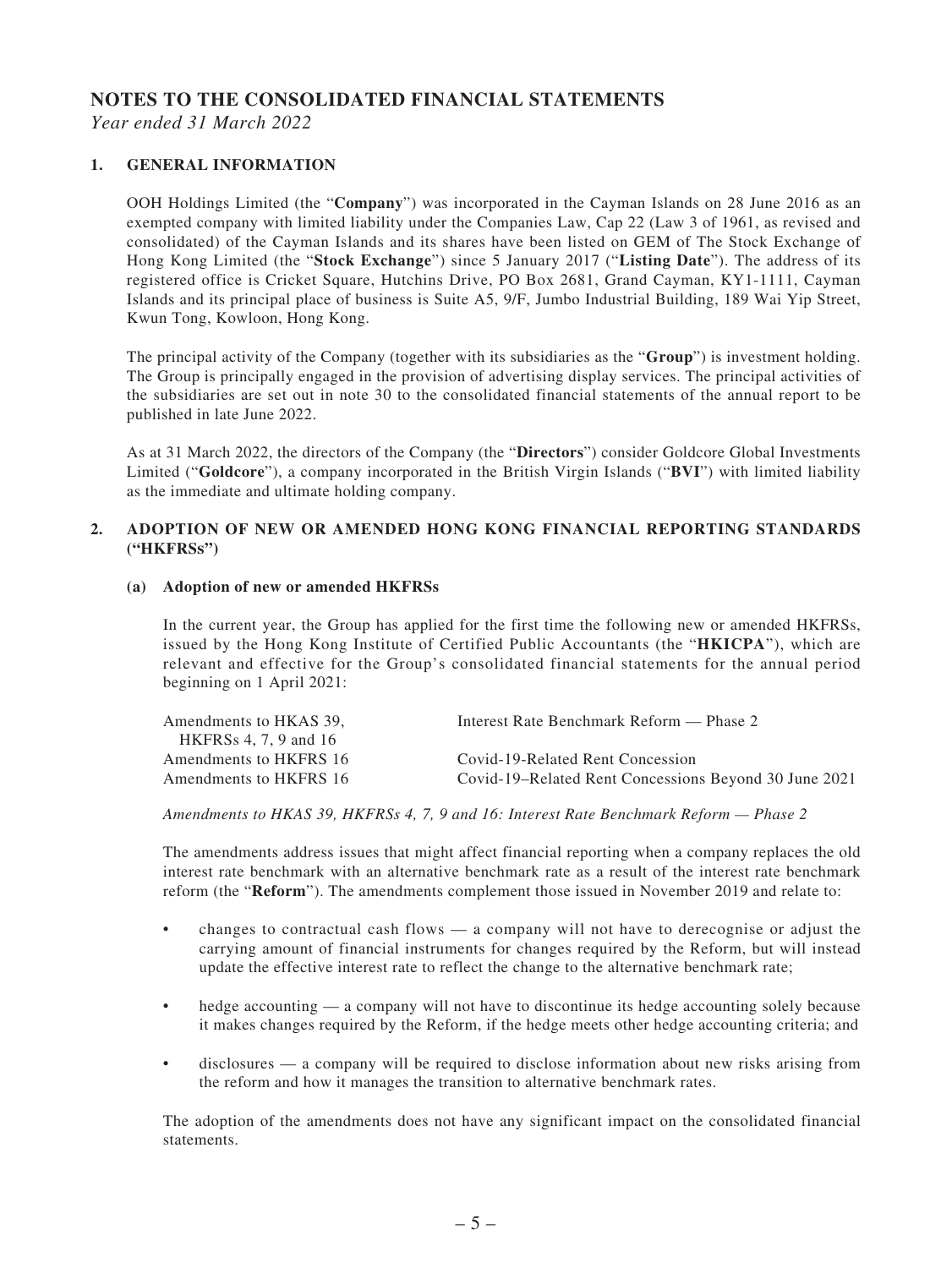## **NOTES TO THE CONSOLIDATED FINANCIAL STATEMENTS**

*Year ended 31 March 2022*

#### **1. GENERAL INFORMATION**

OOH Holdings Limited (the "**Company**") was incorporated in the Cayman Islands on 28 June 2016 as an exempted company with limited liability under the Companies Law, Cap 22 (Law 3 of 1961, as revised and consolidated) of the Cayman Islands and its shares have been listed on GEM of The Stock Exchange of Hong Kong Limited (the "**Stock Exchange**") since 5 January 2017 ("**Listing Date**"). The address of its registered office is Cricket Square, Hutchins Drive, PO Box 2681, Grand Cayman, KY1-1111, Cayman Islands and its principal place of business is Suite A5, 9/F, Jumbo Industrial Building, 189 Wai Yip Street, Kwun Tong, Kowloon, Hong Kong.

The principal activity of the Company (together with its subsidiaries as the "**Group**") is investment holding. The Group is principally engaged in the provision of advertising display services. The principal activities of the subsidiaries are set out in note 30 to the consolidated financial statements of the annual report to be published in late June 2022.

As at 31 March 2022, the directors of the Company (the "**Directors**") consider Goldcore Global Investments Limited ("**Goldcore**"), a company incorporated in the British Virgin Islands ("**BVI**") with limited liability as the immediate and ultimate holding company.

#### **2. ADOPTION OF NEW OR AMENDED HONG KONG FINANCIAL REPORTING STANDARDS ("HKFRSs")**

#### **(a) Adoption of new or amended HKFRSs**

In the current year, the Group has applied for the first time the following new or amended HKFRSs, issued by the Hong Kong Institute of Certified Public Accountants (the "**HKICPA**"), which are relevant and effective for the Group's consolidated financial statements for the annual period beginning on 1 April 2021:

| Interest Rate Benchmark Reform — Phase 2              |
|-------------------------------------------------------|
|                                                       |
| Covid-19-Related Rent Concession                      |
| Covid-19–Related Rent Concessions Beyond 30 June 2021 |
|                                                       |

*Amendments to HKAS 39, HKFRSs 4, 7, 9 and 16: Interest Rate Benchmark Reform — Phase 2*

The amendments address issues that might affect financial reporting when a company replaces the old interest rate benchmark with an alternative benchmark rate as a result of the interest rate benchmark reform (the "**Reform**"). The amendments complement those issued in November 2019 and relate to:

- changes to contractual cash flows  $-$  a company will not have to derecognise or adjust the carrying amount of financial instruments for changes required by the Reform, but will instead update the effective interest rate to reflect the change to the alternative benchmark rate;
- hedge accounting a company will not have to discontinue its hedge accounting solely because it makes changes required by the Reform, if the hedge meets other hedge accounting criteria; and
- $disclosures$   $a$  company will be required to disclose information about new risks arising from the reform and how it manages the transition to alternative benchmark rates.

The adoption of the amendments does not have any significant impact on the consolidated financial statements.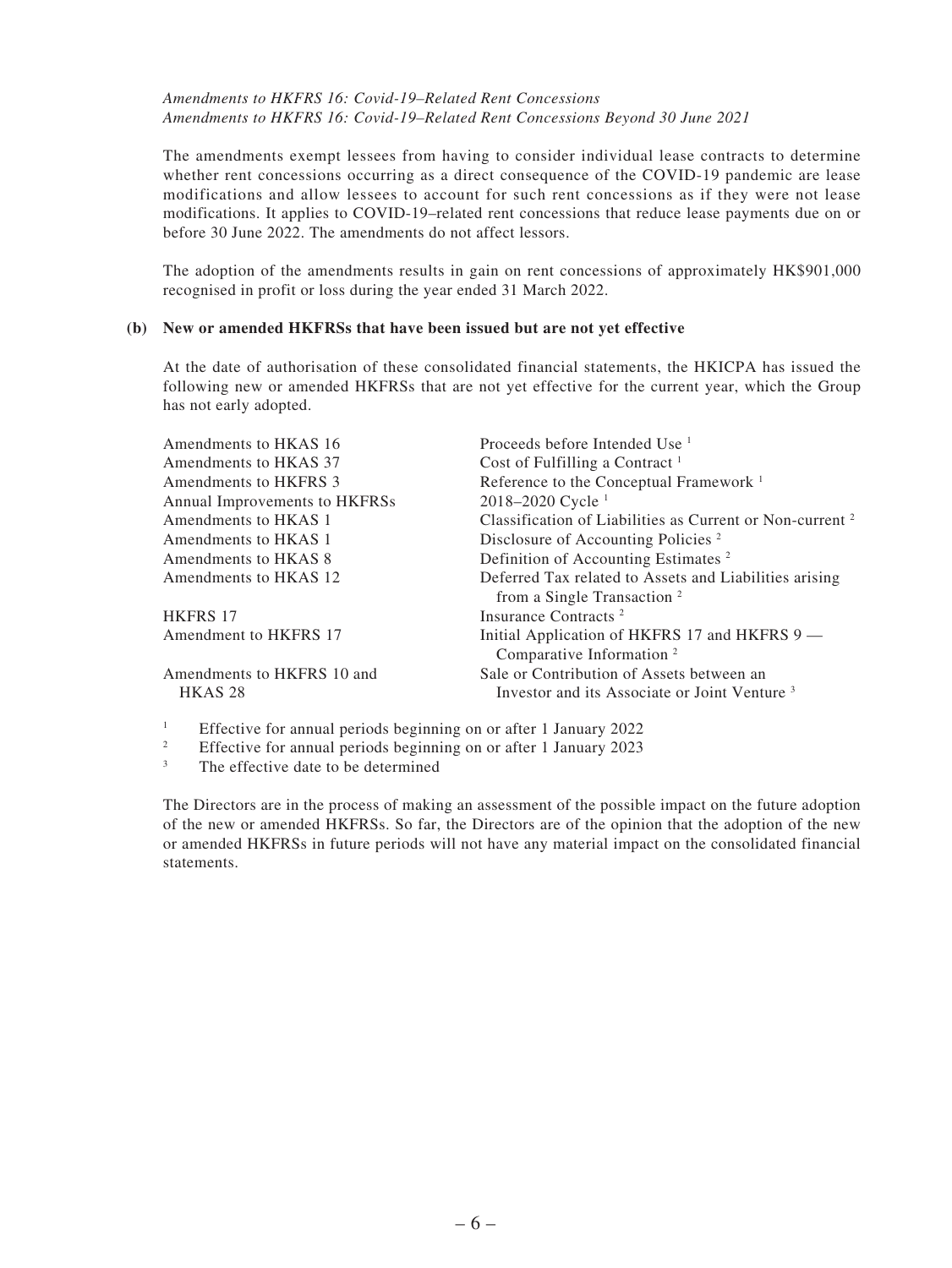#### *Amendments to HKFRS 16: Covid-19–Related Rent Concessions Amendments to HKFRS 16: Covid-19–Related Rent Concessions Beyond 30 June 2021*

The amendments exempt lessees from having to consider individual lease contracts to determine whether rent concessions occurring as a direct consequence of the COVID-19 pandemic are lease modifications and allow lessees to account for such rent concessions as if they were not lease modifications. It applies to COVID-19–related rent concessions that reduce lease payments due on or before 30 June 2022. The amendments do not affect lessors.

The adoption of the amendments results in gain on rent concessions of approximately HK\$901,000 recognised in profit or loss during the year ended 31 March 2022.

#### **(b) New or amended HKFRSs that have been issued but are not yet effective**

At the date of authorisation of these consolidated financial statements, the HKICPA has issued the following new or amended HKFRSs that are not yet effective for the current year, which the Group has not early adopted.

| Amendments to HKAS 16         | Proceeds before Intended Use <sup>1</sup>                                                        |
|-------------------------------|--------------------------------------------------------------------------------------------------|
| Amendments to HKAS 37         | Cost of Fulfilling a Contract <sup>1</sup>                                                       |
| Amendments to HKFRS 3         | Reference to the Conceptual Framework <sup>1</sup>                                               |
| Annual Improvements to HKFRSs | 2018-2020 Cycle <sup>1</sup>                                                                     |
| Amendments to HKAS 1          | Classification of Liabilities as Current or Non-current <sup>2</sup>                             |
| Amendments to HKAS 1          | Disclosure of Accounting Policies <sup>2</sup>                                                   |
| Amendments to HKAS 8          | Definition of Accounting Estimates <sup>2</sup>                                                  |
| Amendments to HKAS 12         | Deferred Tax related to Assets and Liabilities arising<br>from a Single Transaction <sup>2</sup> |
| <b>HKFRS 17</b>               | Insurance Contracts <sup>2</sup>                                                                 |
| Amendment to HKFRS 17         | Initial Application of HKFRS 17 and HKFRS 9 —<br>Comparative Information <sup>2</sup>            |
| Amendments to HKFRS 10 and    | Sale or Contribution of Assets between an                                                        |
| HKAS <sub>28</sub>            | Investor and its Associate or Joint Venture <sup>3</sup>                                         |

1 Effective for annual periods beginning on or after 1 January 2022

- 2 Effective for annual periods beginning on or after 1 January 2023
- 3 The effective date to be determined

The Directors are in the process of making an assessment of the possible impact on the future adoption of the new or amended HKFRSs. So far, the Directors are of the opinion that the adoption of the new or amended HKFRSs in future periods will not have any material impact on the consolidated financial statements.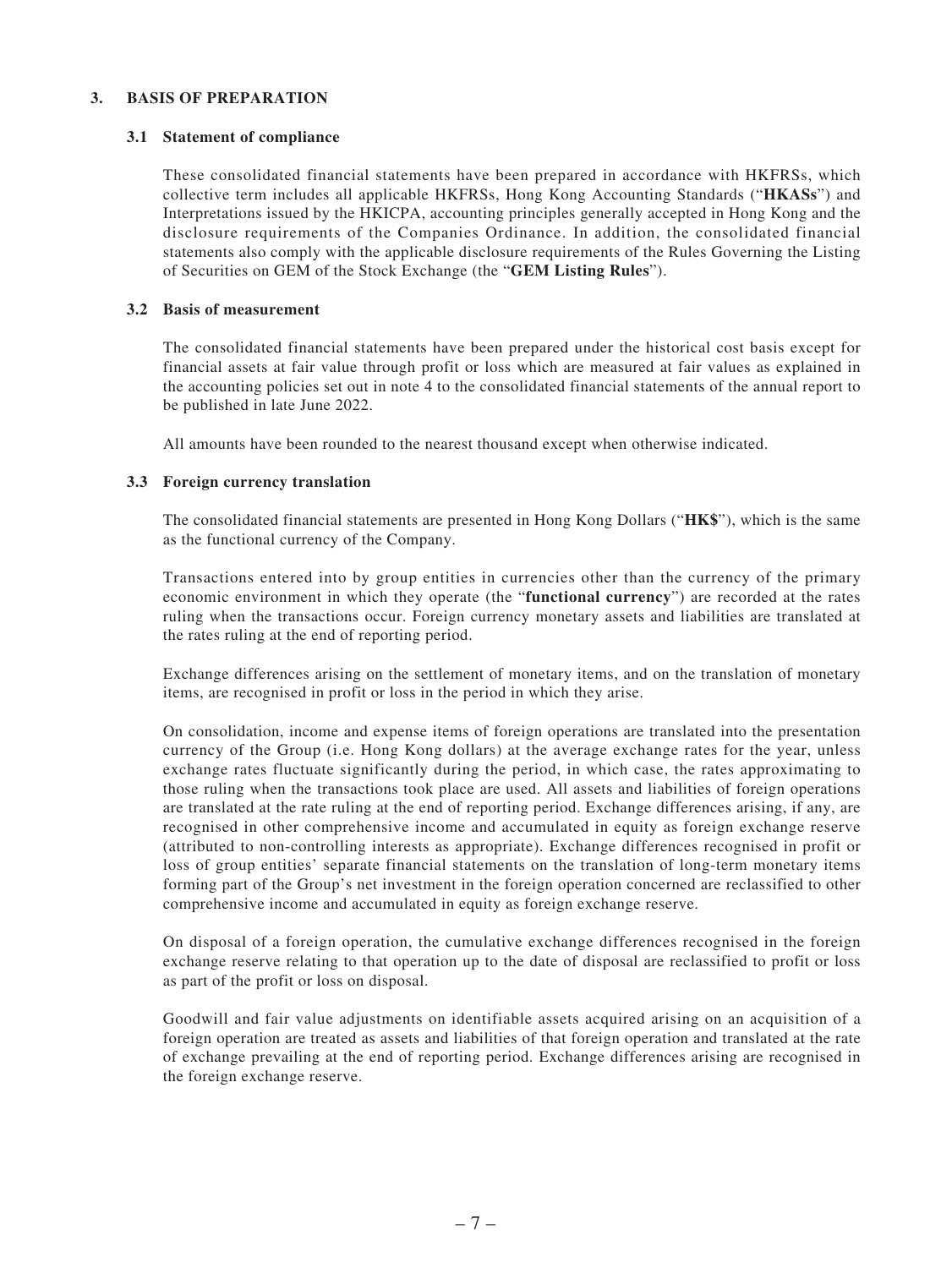#### **3. BASIS OF PREPARATION**

#### **3.1 Statement of compliance**

These consolidated financial statements have been prepared in accordance with HKFRSs, which collective term includes all applicable HKFRSs, Hong Kong Accounting Standards ("**HKASs**") and Interpretations issued by the HKICPA, accounting principles generally accepted in Hong Kong and the disclosure requirements of the Companies Ordinance. In addition, the consolidated financial statements also comply with the applicable disclosure requirements of the Rules Governing the Listing of Securities on GEM of the Stock Exchange (the "**GEM Listing Rules**").

#### **3.2 Basis of measurement**

The consolidated financial statements have been prepared under the historical cost basis except for financial assets at fair value through profit or loss which are measured at fair values as explained in the accounting policies set out in note 4 to the consolidated financial statements of the annual report to be published in late June 2022.

All amounts have been rounded to the nearest thousand except when otherwise indicated.

#### **3.3 Foreign currency translation**

The consolidated financial statements are presented in Hong Kong Dollars ("**HK\$**"), which is the same as the functional currency of the Company.

Transactions entered into by group entities in currencies other than the currency of the primary economic environment in which they operate (the "**functional currency**") are recorded at the rates ruling when the transactions occur. Foreign currency monetary assets and liabilities are translated at the rates ruling at the end of reporting period.

Exchange differences arising on the settlement of monetary items, and on the translation of monetary items, are recognised in profit or loss in the period in which they arise.

On consolidation, income and expense items of foreign operations are translated into the presentation currency of the Group (i.e. Hong Kong dollars) at the average exchange rates for the year, unless exchange rates fluctuate significantly during the period, in which case, the rates approximating to those ruling when the transactions took place are used. All assets and liabilities of foreign operations are translated at the rate ruling at the end of reporting period. Exchange differences arising, if any, are recognised in other comprehensive income and accumulated in equity as foreign exchange reserve (attributed to non-controlling interests as appropriate). Exchange differences recognised in profit or loss of group entities' separate financial statements on the translation of long-term monetary items forming part of the Group's net investment in the foreign operation concerned are reclassified to other comprehensive income and accumulated in equity as foreign exchange reserve.

On disposal of a foreign operation, the cumulative exchange differences recognised in the foreign exchange reserve relating to that operation up to the date of disposal are reclassified to profit or loss as part of the profit or loss on disposal.

Goodwill and fair value adjustments on identifiable assets acquired arising on an acquisition of a foreign operation are treated as assets and liabilities of that foreign operation and translated at the rate of exchange prevailing at the end of reporting period. Exchange differences arising are recognised in the foreign exchange reserve.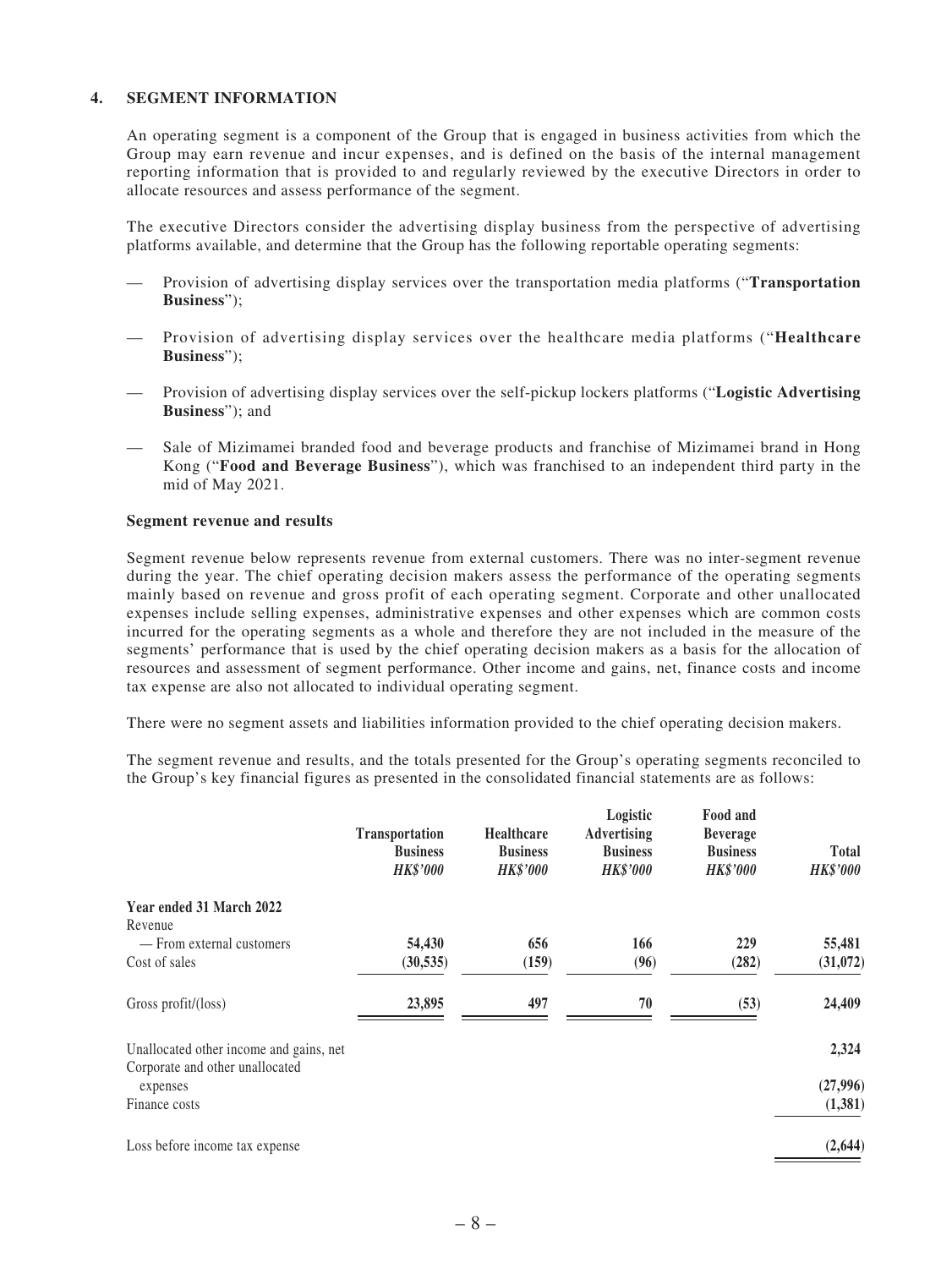#### **4. SEGMENT INFORMATION**

An operating segment is a component of the Group that is engaged in business activities from which the Group may earn revenue and incur expenses, and is defined on the basis of the internal management reporting information that is provided to and regularly reviewed by the executive Directors in order to allocate resources and assess performance of the segment.

The executive Directors consider the advertising display business from the perspective of advertising platforms available, and determine that the Group has the following reportable operating segments:

- Provision of advertising display services over the transportation media platforms ("**Transportation Business**");
- — Provision of advertising display services over the healthcare media platforms ("**Healthcare Business**");
- Provision of advertising display services over the self-pickup lockers platforms ("**Logistic Advertising Business**"); and
- Sale of Mizimamei branded food and beverage products and franchise of Mizimamei brand in Hong Kong ("**Food and Beverage Business**"), which was franchised to an independent third party in the mid of May 2021.

#### **Segment revenue and results**

Segment revenue below represents revenue from external customers. There was no inter-segment revenue during the year. The chief operating decision makers assess the performance of the operating segments mainly based on revenue and gross profit of each operating segment. Corporate and other unallocated expenses include selling expenses, administrative expenses and other expenses which are common costs incurred for the operating segments as a whole and therefore they are not included in the measure of the segments' performance that is used by the chief operating decision makers as a basis for the allocation of resources and assessment of segment performance. Other income and gains, net, finance costs and income tax expense are also not allocated to individual operating segment.

There were no segment assets and liabilities information provided to the chief operating decision makers.

The segment revenue and results, and the totals presented for the Group's operating segments reconciled to the Group's key financial figures as presented in the consolidated financial statements are as follows:

|                                             | Transportation<br><b>Business</b> | <b>Healthcare</b><br><b>Business</b> | Logistic<br><b>Advertising</b><br><b>Business</b> | Food and<br><b>Beverage</b><br><b>Business</b> | <b>Total</b>    |
|---------------------------------------------|-----------------------------------|--------------------------------------|---------------------------------------------------|------------------------------------------------|-----------------|
|                                             | <b>HK\$'000</b>                   | <b>HK\$'000</b>                      | <b>HK\$'000</b>                                   | <b>HK\$'000</b>                                | <b>HK\$'000</b> |
| Year ended 31 March 2022                    |                                   |                                      |                                                   |                                                |                 |
| Revenue                                     |                                   |                                      |                                                   |                                                |                 |
| — From external customers                   | 54,430                            | 656                                  | 166                                               | 229                                            | 55,481          |
| Cost of sales                               | (30, 535)                         | (159)                                | (96)                                              | (282)                                          | (31,072)        |
| Gross profit/(loss)                         | 23,895                            | 497                                  | 70                                                | (53)                                           | 24,409          |
| Unallocated other income and gains, net     |                                   |                                      |                                                   |                                                | 2,324           |
| Corporate and other unallocated<br>expenses |                                   |                                      |                                                   |                                                | (27,996)        |
| Finance costs                               |                                   |                                      |                                                   |                                                | (1,381)         |
| Loss before income tax expense              |                                   |                                      |                                                   |                                                | (2,644)         |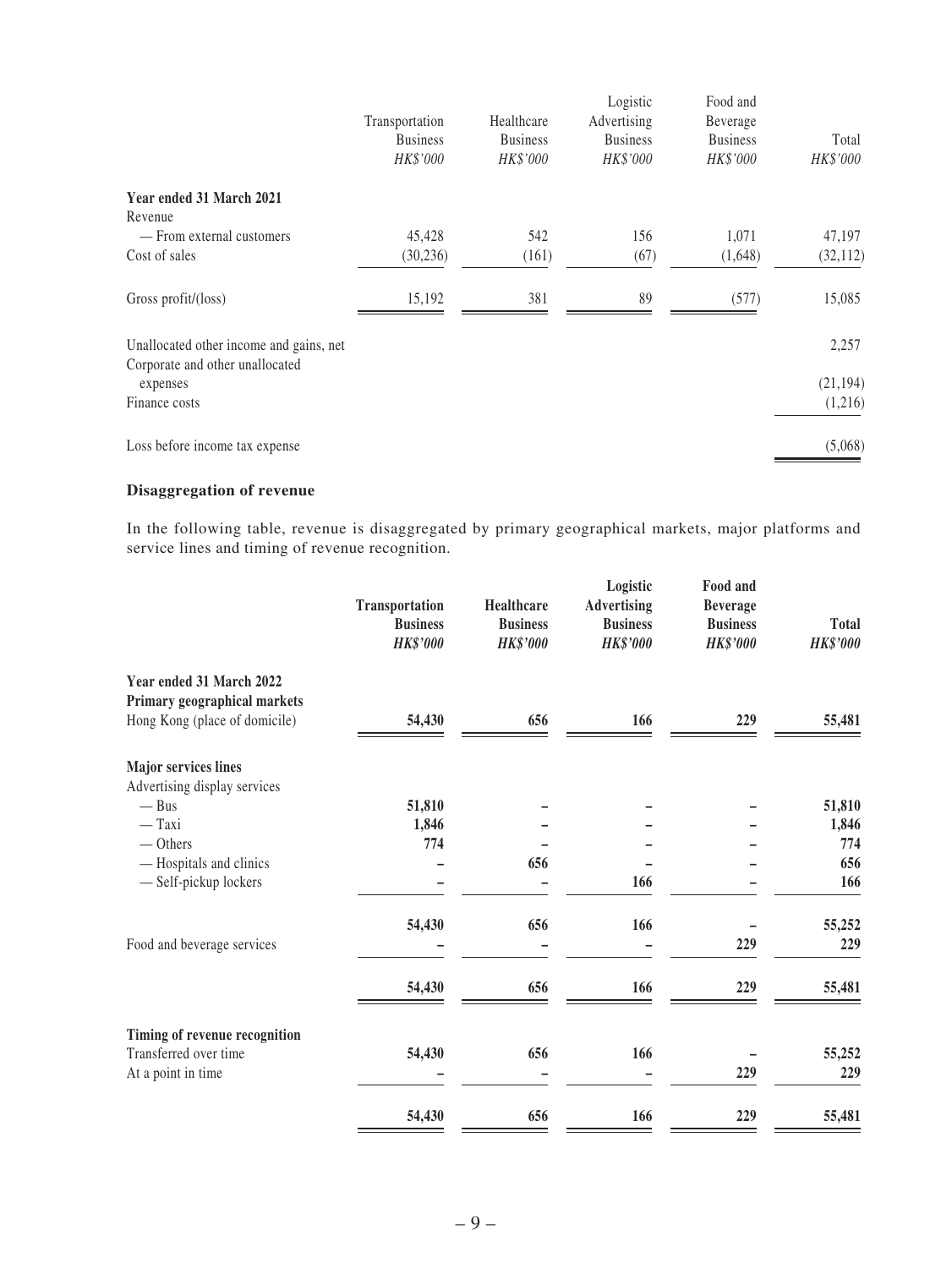|                                                                            | Transportation<br><b>Business</b> | Healthcare<br><b>Business</b> | Logistic<br>Advertising<br><b>Business</b> | Food and<br>Beverage<br><b>Business</b> | Total     |
|----------------------------------------------------------------------------|-----------------------------------|-------------------------------|--------------------------------------------|-----------------------------------------|-----------|
|                                                                            | HK\$'000                          | HK\$'000                      | HK\$'000                                   | HK\$'000                                | HK\$'000  |
| Year ended 31 March 2021<br>Revenue                                        |                                   |                               |                                            |                                         |           |
| — From external customers                                                  | 45,428                            | 542                           | 156                                        | 1,071                                   | 47,197    |
| Cost of sales                                                              | (30, 236)                         | (161)                         | (67)                                       | (1,648)                                 | (32, 112) |
| Gross profit/(loss)                                                        | 15,192                            | 381                           | 89                                         | (577)                                   | 15,085    |
| Unallocated other income and gains, net<br>Corporate and other unallocated |                                   |                               |                                            |                                         | 2,257     |
| expenses                                                                   |                                   |                               |                                            |                                         | (21, 194) |
| Finance costs                                                              |                                   |                               |                                            |                                         | (1,216)   |
| Loss before income tax expense                                             |                                   |                               |                                            |                                         | (5,068)   |

## **Disaggregation of revenue**

In the following table, revenue is disaggregated by primary geographical markets, major platforms and service lines and timing of revenue recognition.

|                                                                                           | Transportation<br><b>Business</b><br><b>HK\$'000</b> | Healthcare<br><b>Business</b><br><b>HK\$'000</b> | Logistic<br><b>Advertising</b><br><b>Business</b><br><b>HK\$'000</b> | Food and<br><b>Beverage</b><br><b>Business</b><br><b>HK\$'000</b> | <b>Total</b><br><b>HK\$'000</b> |
|-------------------------------------------------------------------------------------------|------------------------------------------------------|--------------------------------------------------|----------------------------------------------------------------------|-------------------------------------------------------------------|---------------------------------|
| Year ended 31 March 2022<br>Primary geographical markets<br>Hong Kong (place of domicile) | 54,430                                               | 656                                              | 166                                                                  | 229                                                               | 55,481                          |
| <b>Major services lines</b>                                                               |                                                      |                                                  |                                                                      |                                                                   |                                 |
| Advertising display services                                                              |                                                      |                                                  |                                                                      |                                                                   |                                 |
| $-$ Bus                                                                                   | 51,810                                               |                                                  |                                                                      |                                                                   | 51,810                          |
| $-$ Taxi                                                                                  | 1,846                                                |                                                  |                                                                      |                                                                   | 1,846                           |
| $-$ Others                                                                                | 774                                                  |                                                  |                                                                      |                                                                   | 774                             |
| - Hospitals and clinics                                                                   |                                                      | 656                                              |                                                                      |                                                                   | 656                             |
| - Self-pickup lockers                                                                     |                                                      |                                                  | 166                                                                  |                                                                   | 166                             |
|                                                                                           | 54,430                                               | 656                                              | 166                                                                  |                                                                   | 55,252                          |
| Food and beverage services                                                                |                                                      |                                                  |                                                                      | 229                                                               | 229                             |
|                                                                                           | 54,430                                               | 656                                              | 166                                                                  | 229                                                               | 55,481                          |
| Timing of revenue recognition                                                             |                                                      |                                                  |                                                                      |                                                                   |                                 |
| Transferred over time                                                                     | 54,430                                               | 656                                              | 166                                                                  |                                                                   | 55,252                          |
| At a point in time                                                                        |                                                      |                                                  |                                                                      | 229                                                               | 229                             |
|                                                                                           | 54,430                                               | 656                                              | 166                                                                  | 229                                                               | 55,481                          |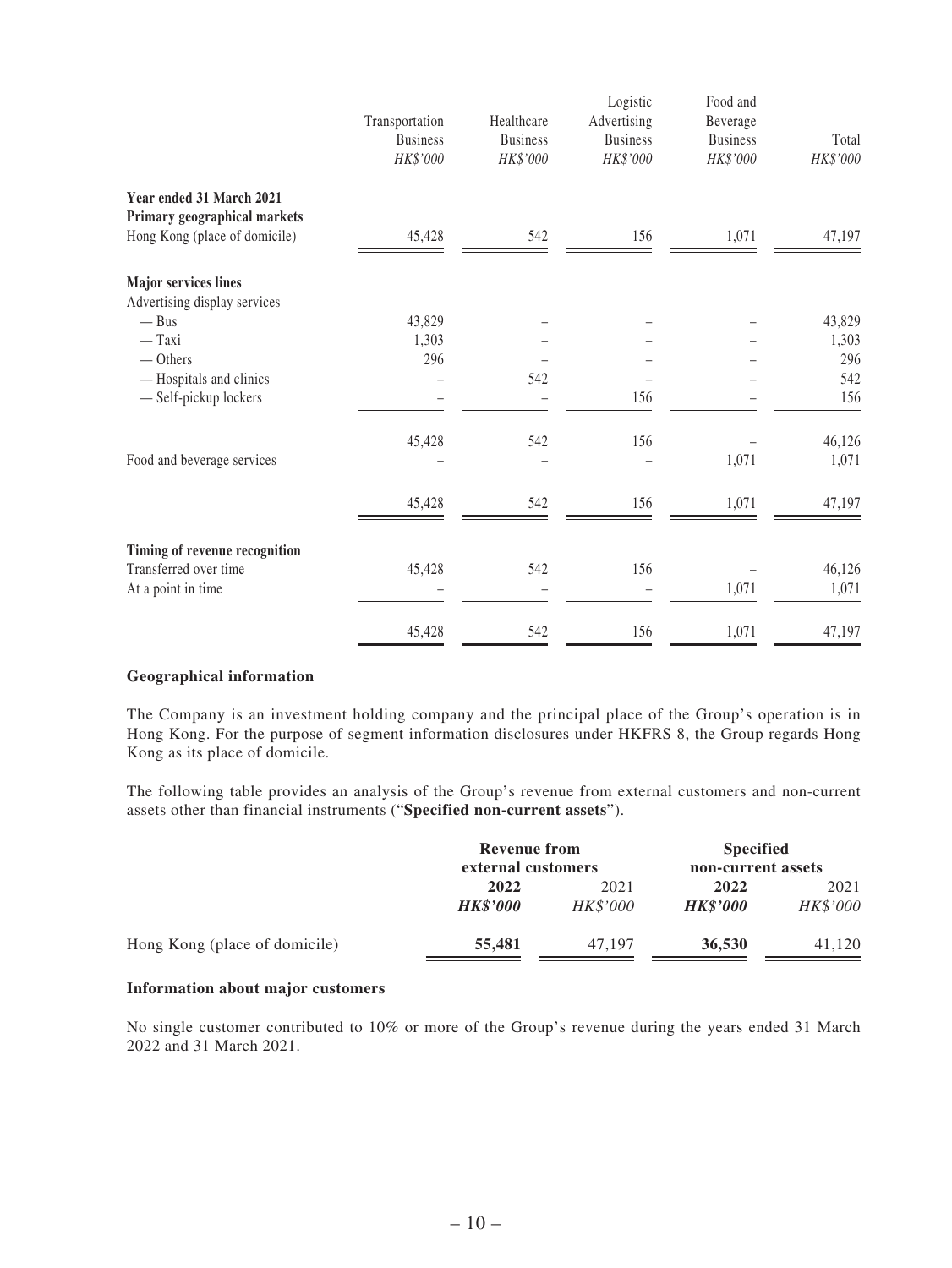|                                                                                           | Transportation<br><b>Business</b><br>HK\$'000 | Healthcare<br><b>Business</b><br>HK\$'000 | Logistic<br>Advertising<br><b>Business</b><br>HK\$'000 | Food and<br>Beverage<br><b>Business</b><br>HK\$'000 | Total<br>HK\$'000 |
|-------------------------------------------------------------------------------------------|-----------------------------------------------|-------------------------------------------|--------------------------------------------------------|-----------------------------------------------------|-------------------|
| Year ended 31 March 2021<br>Primary geographical markets<br>Hong Kong (place of domicile) | 45,428                                        | 542                                       | 156                                                    | 1,071                                               | 47,197            |
| <b>Major services lines</b><br>Advertising display services                               |                                               |                                           |                                                        |                                                     |                   |
| $-$ Bus                                                                                   | 43,829                                        |                                           |                                                        |                                                     | 43,829            |
| $-$ Taxi                                                                                  | 1,303                                         |                                           |                                                        |                                                     | 1,303             |
| $-$ Others                                                                                | 296                                           |                                           |                                                        |                                                     | 296               |
| - Hospitals and clinics                                                                   |                                               | 542                                       |                                                        |                                                     | 542               |
| - Self-pickup lockers                                                                     |                                               |                                           | 156                                                    |                                                     | 156               |
|                                                                                           | 45,428                                        | 542                                       | 156                                                    |                                                     | 46,126            |
| Food and beverage services                                                                |                                               |                                           |                                                        | 1,071                                               | 1,071             |
|                                                                                           | 45,428                                        | 542                                       | 156                                                    | 1,071                                               | 47,197            |
| Timing of revenue recognition                                                             |                                               |                                           |                                                        |                                                     |                   |
| Transferred over time                                                                     | 45,428                                        | 542                                       | 156                                                    |                                                     | 46,126            |
| At a point in time                                                                        |                                               |                                           |                                                        | 1,071                                               | 1,071             |
|                                                                                           | 45,428                                        | 542                                       | 156                                                    | 1,071                                               | 47,197            |

#### **Geographical information**

The Company is an investment holding company and the principal place of the Group's operation is in Hong Kong. For the purpose of segment information disclosures under HKFRS 8, the Group regards Hong Kong as its place of domicile.

The following table provides an analysis of the Group's revenue from external customers and non-current assets other than financial instruments ("**Specified non-current assets**").

|                               | <b>Revenue from</b><br>external customers |                  | <b>Specified</b><br>non-current assets |                  |  |
|-------------------------------|-------------------------------------------|------------------|----------------------------------------|------------------|--|
|                               | 2022<br><b>HK\$'000</b>                   | 2021<br>HK\$'000 | 2022<br><b>HK\$'000</b>                | 2021<br>HK\$'000 |  |
| Hong Kong (place of domicile) | 55,481                                    | 47.197           | 36,530                                 | 41.120           |  |

#### **Information about major customers**

No single customer contributed to 10% or more of the Group's revenue during the years ended 31 March 2022 and 31 March 2021.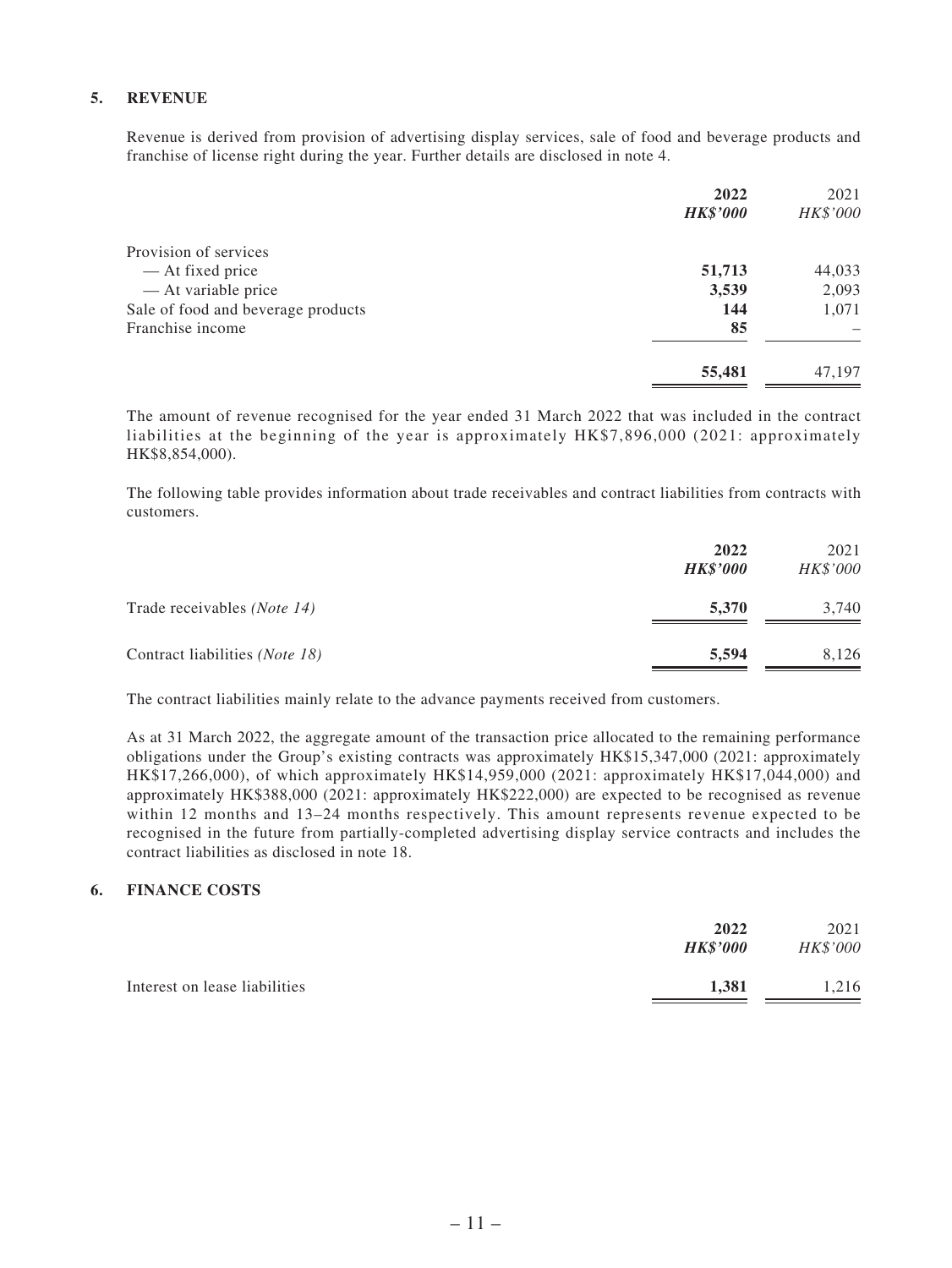#### **5. REVENUE**

Revenue is derived from provision of advertising display services, sale of food and beverage products and franchise of license right during the year. Further details are disclosed in note 4.

| 2022<br><b>HK\$'000</b>                   | 2021<br>HK\$'000 |
|-------------------------------------------|------------------|
| Provision of services                     |                  |
| 51,713<br>— At fixed price                | 44,033           |
| - At variable price<br>3,539              | 2,093            |
| Sale of food and beverage products<br>144 | 1,071            |
| Franchise income                          | 85               |
| 55,481                                    | 47,197           |

The amount of revenue recognised for the year ended 31 March 2022 that was included in the contract liabilities at the beginning of the year is approximately HK\$7,896,000 (2021: approximately HK\$8,854,000).

The following table provides information about trade receivables and contract liabilities from contracts with customers.

|                                      | 2022<br><b>HK\$'000</b> | 2021<br>HK\$'000 |
|--------------------------------------|-------------------------|------------------|
| Trade receivables ( <i>Note 14</i> ) | 5,370                   | 3,740            |
| Contract liabilities (Note 18)       | 5,594                   | 8,126            |

The contract liabilities mainly relate to the advance payments received from customers.

As at 31 March 2022, the aggregate amount of the transaction price allocated to the remaining performance obligations under the Group's existing contracts was approximately HK\$15,347,000 (2021: approximately HK\$17,266,000), of which approximately HK\$14,959,000 (2021: approximately HK\$17,044,000) and approximately HK\$388,000 (2021: approximately HK\$222,000) are expected to be recognised as revenue within 12 months and 13–24 months respectively. This amount represents revenue expected to be recognised in the future from partially-completed advertising display service contracts and includes the contract liabilities as disclosed in note 18.

#### **6. FINANCE COSTS**

| <b>HK\$'000</b>               | 2022  | 2021<br>HK\$'000 |
|-------------------------------|-------|------------------|
| Interest on lease liabilities | 1.381 | 1.216            |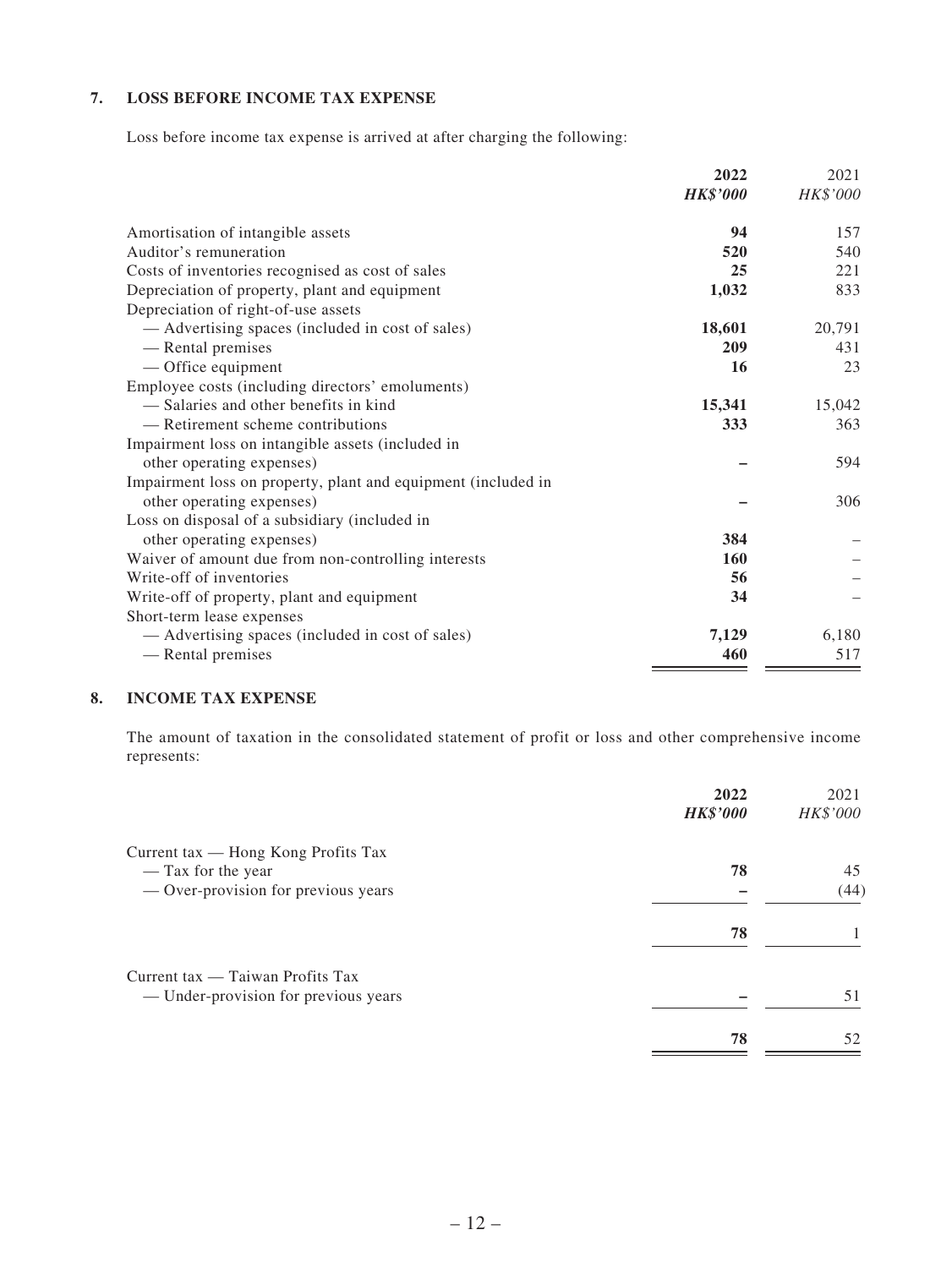#### **7. LOSS BEFORE INCOME TAX EXPENSE**

Loss before income tax expense is arrived at after charging the following:

|                                                               | 2022            | 2021     |
|---------------------------------------------------------------|-----------------|----------|
|                                                               | <b>HK\$'000</b> | HK\$'000 |
| Amortisation of intangible assets                             | 94              | 157      |
| Auditor's remuneration                                        | 520             | 540      |
| Costs of inventories recognised as cost of sales              | 25              | 221      |
| Depreciation of property, plant and equipment                 | 1,032           | 833      |
| Depreciation of right-of-use assets                           |                 |          |
| - Advertising spaces (included in cost of sales)              | 18,601          | 20,791   |
| - Rental premises                                             | 209             | 431      |
| — Office equipment                                            | 16              | 23       |
|                                                               |                 |          |
| Employee costs (including directors' emoluments)              |                 |          |
| - Salaries and other benefits in kind                         | 15,341          | 15,042   |
| — Retirement scheme contributions                             | 333             | 363      |
| Impairment loss on intangible assets (included in             |                 |          |
| other operating expenses)                                     |                 | 594      |
| Impairment loss on property, plant and equipment (included in |                 |          |
| other operating expenses)                                     |                 | 306      |
| Loss on disposal of a subsidiary (included in                 |                 |          |
| other operating expenses)                                     | 384             |          |
| Waiver of amount due from non-controlling interests           | <b>160</b>      |          |
| Write-off of inventories                                      | 56              |          |
| Write-off of property, plant and equipment                    | 34              |          |
| Short-term lease expenses                                     |                 |          |
| - Advertising spaces (included in cost of sales)              | 7,129           | 6,180    |
|                                                               | 460             | 517      |
| - Rental premises                                             |                 |          |

#### **8. INCOME TAX EXPENSE**

The amount of taxation in the consolidated statement of profit or loss and other comprehensive income represents:

|                                                                          | 2022<br><b>HK\$'000</b> | 2021<br>HK\$'000 |
|--------------------------------------------------------------------------|-------------------------|------------------|
| Current tax — Hong Kong Profits Tax                                      |                         |                  |
| — Tax for the year                                                       | 78                      | 45               |
| - Over-provision for previous years                                      |                         | (44)             |
|                                                                          | 78                      |                  |
| Current tax — Taiwan Profits Tax<br>— Under-provision for previous years |                         | 51               |
|                                                                          |                         |                  |
|                                                                          | 78                      | 52               |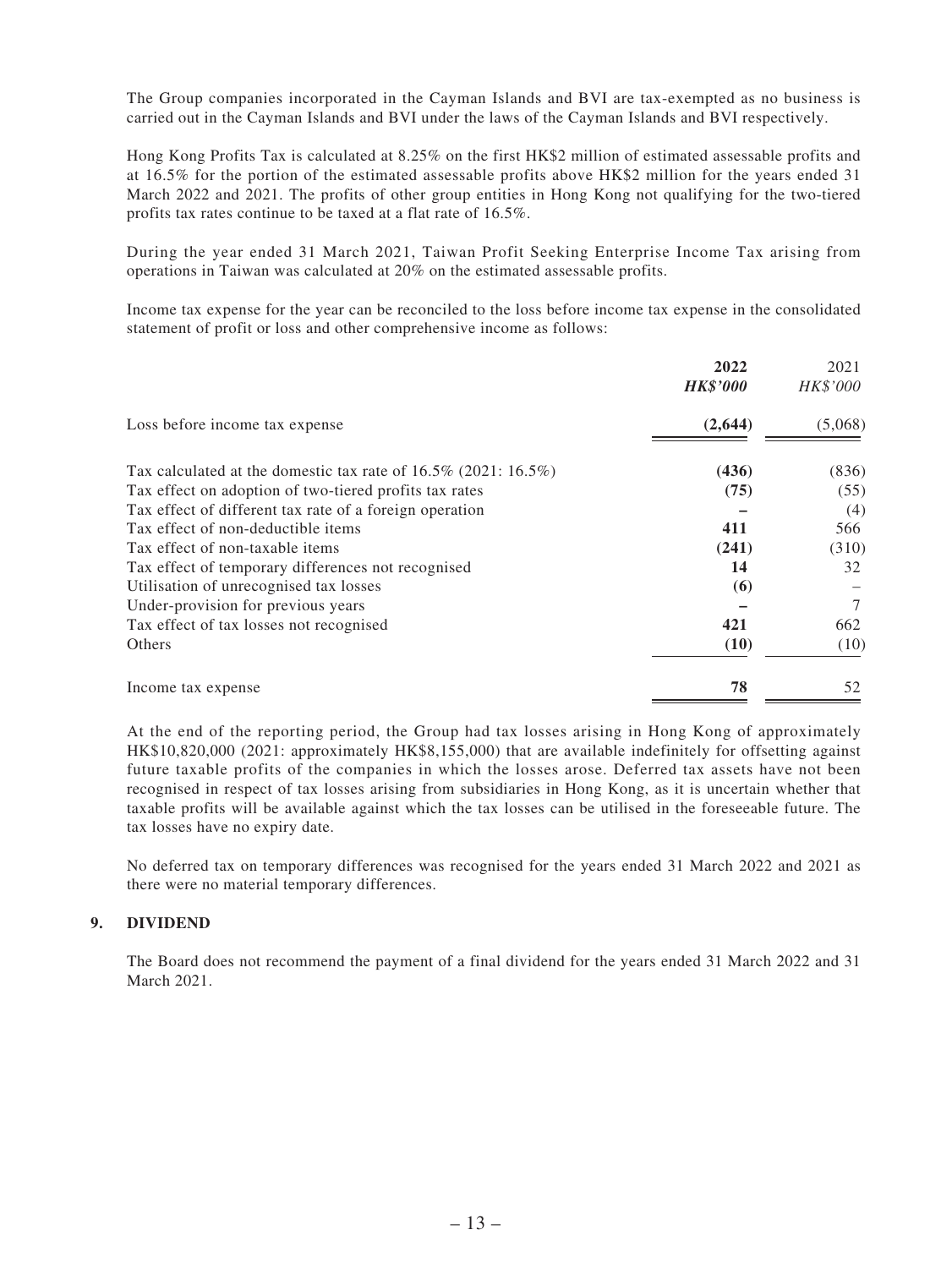The Group companies incorporated in the Cayman Islands and BVI are tax-exempted as no business is carried out in the Cayman Islands and BVI under the laws of the Cayman Islands and BVI respectively.

Hong Kong Profits Tax is calculated at 8.25% on the first HK\$2 million of estimated assessable profits and at 16.5% for the portion of the estimated assessable profits above HK\$2 million for the years ended 31 March 2022 and 2021. The profits of other group entities in Hong Kong not qualifying for the two-tiered profits tax rates continue to be taxed at a flat rate of 16.5%.

During the year ended 31 March 2021, Taiwan Profit Seeking Enterprise Income Tax arising from operations in Taiwan was calculated at 20% on the estimated assessable profits.

Income tax expense for the year can be reconciled to the loss before income tax expense in the consolidated statement of profit or loss and other comprehensive income as follows:

|                                                                       | 2022<br><b>HK\$'000</b> | 2021<br><i>HK\$'000</i> |
|-----------------------------------------------------------------------|-------------------------|-------------------------|
| Loss before income tax expense                                        | (2,644)                 | (5,068)                 |
| Tax calculated at the domestic tax rate of $16.5\%$ (2021: $16.5\%$ ) | (436)                   | (836)                   |
| Tax effect on adoption of two-tiered profits tax rates                | (75)                    | (55)                    |
| Tax effect of different tax rate of a foreign operation               |                         | (4)                     |
| Tax effect of non-deductible items                                    | 411                     | 566                     |
| Tax effect of non-taxable items                                       | (241)                   | (310)                   |
| Tax effect of temporary differences not recognised                    | 14                      | 32                      |
| Utilisation of unrecognised tax losses                                | (6)                     |                         |
| Under-provision for previous years                                    |                         | 7                       |
| Tax effect of tax losses not recognised                               | 421                     | 662                     |
| <b>Others</b>                                                         | (10)                    | (10)                    |
| Income tax expense                                                    | 78                      | 52                      |

At the end of the reporting period, the Group had tax losses arising in Hong Kong of approximately HK\$10,820,000 (2021: approximately HK\$8,155,000) that are available indefinitely for offsetting against future taxable profits of the companies in which the losses arose. Deferred tax assets have not been recognised in respect of tax losses arising from subsidiaries in Hong Kong, as it is uncertain whether that taxable profits will be available against which the tax losses can be utilised in the foreseeable future. The tax losses have no expiry date.

No deferred tax on temporary differences was recognised for the years ended 31 March 2022 and 2021 as there were no material temporary differences.

#### **9. DIVIDEND**

The Board does not recommend the payment of a final dividend for the years ended 31 March 2022 and 31 March 2021.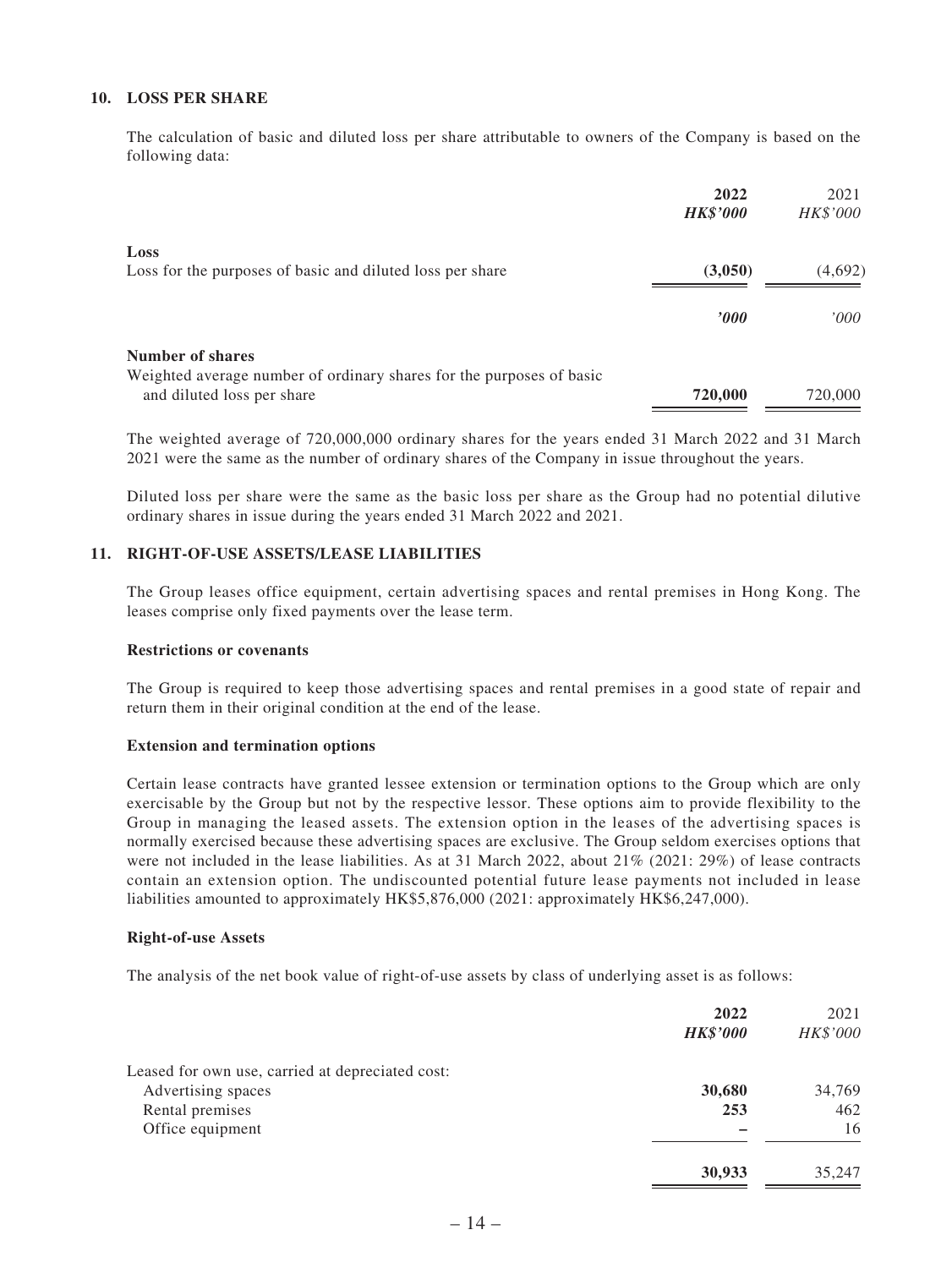#### **10. LOSS PER SHARE**

The calculation of basic and diluted loss per share attributable to owners of the Company is based on the following data:

|                                                                                                    | 2022<br><b>HK\$'000</b> | 2021<br>HK\$'000 |
|----------------------------------------------------------------------------------------------------|-------------------------|------------------|
| Loss                                                                                               |                         |                  |
| Loss for the purposes of basic and diluted loss per share                                          | (3,050)                 | (4,692)          |
|                                                                                                    | $\bm{v}$                | 000'             |
| Number of shares                                                                                   |                         |                  |
| Weighted average number of ordinary shares for the purposes of basic<br>and diluted loss per share | 720,000                 | 720,000          |

The weighted average of 720,000,000 ordinary shares for the years ended 31 March 2022 and 31 March 2021 were the same as the number of ordinary shares of the Company in issue throughout the years.

Diluted loss per share were the same as the basic loss per share as the Group had no potential dilutive ordinary shares in issue during the years ended 31 March 2022 and 2021.

#### **11. RIGHT-OF-USE ASSETS/LEASE LIABILITIES**

The Group leases office equipment, certain advertising spaces and rental premises in Hong Kong. The leases comprise only fixed payments over the lease term.

#### **Restrictions or covenants**

The Group is required to keep those advertising spaces and rental premises in a good state of repair and return them in their original condition at the end of the lease.

#### **Extension and termination options**

Certain lease contracts have granted lessee extension or termination options to the Group which are only exercisable by the Group but not by the respective lessor. These options aim to provide flexibility to the Group in managing the leased assets. The extension option in the leases of the advertising spaces is normally exercised because these advertising spaces are exclusive. The Group seldom exercises options that were not included in the lease liabilities. As at 31 March 2022, about 21% (2021: 29%) of lease contracts contain an extension option. The undiscounted potential future lease payments not included in lease liabilities amounted to approximately HK\$5,876,000 (2021: approximately HK\$6,247,000).

#### **Right-of-use Assets**

The analysis of the net book value of right-of-use assets by class of underlying asset is as follows:

|                                                  | 2022            | 2021     |
|--------------------------------------------------|-----------------|----------|
|                                                  | <b>HK\$'000</b> | HK\$'000 |
| Leased for own use, carried at depreciated cost: |                 |          |
| Advertising spaces                               | 30,680          | 34,769   |
| Rental premises                                  | 253             | 462      |
| Office equipment                                 |                 | 16       |
|                                                  | 30,933          | 35,247   |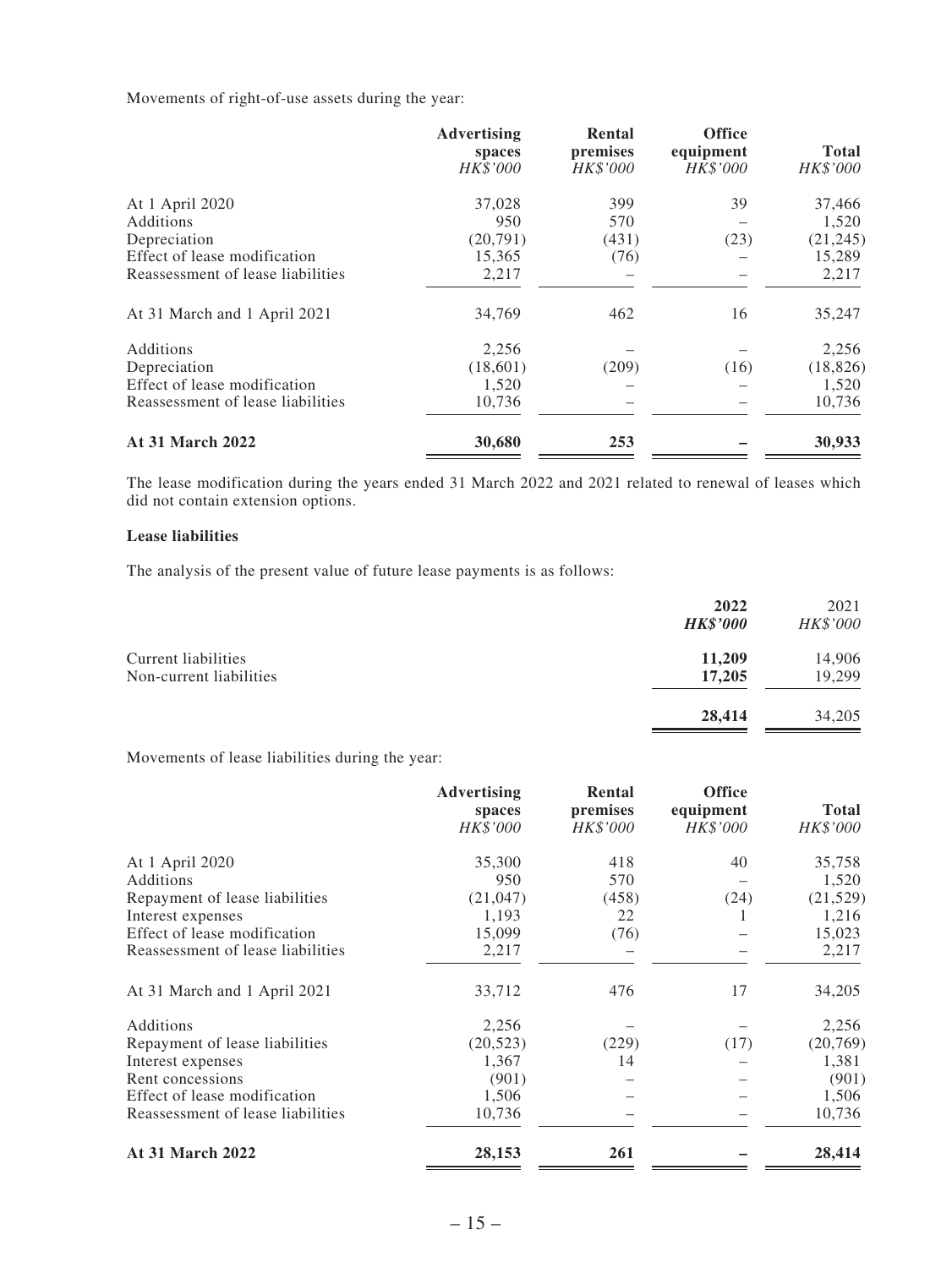Movements of right-of-use assets during the year:

|                                   | Advertising<br>spaces<br><b>HK\$'000</b> | Rental<br>premises<br>HK\$'000 | <b>Office</b><br>equipment<br>HK\$'000 | <b>Total</b><br>HK\$'000 |
|-----------------------------------|------------------------------------------|--------------------------------|----------------------------------------|--------------------------|
| At 1 April 2020                   | 37,028                                   | 399                            | 39                                     | 37,466                   |
| Additions                         | 950                                      | 570                            |                                        | 1,520                    |
| Depreciation                      | (20,791)                                 | (431)                          | (23)                                   | (21, 245)                |
| Effect of lease modification      | 15,365                                   | (76)                           |                                        | 15,289                   |
| Reassessment of lease liabilities | 2,217                                    |                                |                                        | 2,217                    |
| At 31 March and 1 April 2021      | 34,769                                   | 462                            | 16                                     | 35,247                   |
| Additions                         | 2,256                                    |                                |                                        | 2,256                    |
| Depreciation                      | (18,601)                                 | (209)                          | (16)                                   | (18, 826)                |
| Effect of lease modification      | 1,520                                    |                                |                                        | 1,520                    |
| Reassessment of lease liabilities | 10,736                                   |                                |                                        | 10,736                   |
| At 31 March 2022                  | 30,680                                   | 253                            |                                        | 30,933                   |

The lease modification during the years ended 31 March 2022 and 2021 related to renewal of leases which did not contain extension options.

#### **Lease liabilities**

The analysis of the present value of future lease payments is as follows:

|                                                | 2022<br><b>HK\$'000</b> | 2021<br>HK\$'000 |
|------------------------------------------------|-------------------------|------------------|
| Current liabilities<br>Non-current liabilities | 11,209<br>17,205        | 14,906<br>19,299 |
|                                                | 28,414                  | 34,205           |

Movements of lease liabilities during the year:

|                                   | <b>Advertising</b><br>spaces<br>HK\$'000 | Rental<br>premises<br>HK\$'000 | <b>Office</b><br>equipment<br>HK\$'000 | <b>Total</b><br>HK\$'000 |
|-----------------------------------|------------------------------------------|--------------------------------|----------------------------------------|--------------------------|
| At 1 April 2020                   | 35,300                                   | 418                            | 40                                     | 35,758                   |
| Additions                         | 950                                      | 570                            |                                        | 1,520                    |
| Repayment of lease liabilities    | (21, 047)                                | (458)                          | (24)                                   | (21, 529)                |
| Interest expenses                 | 1,193                                    | 22                             | 1                                      | 1,216                    |
| Effect of lease modification      | 15,099                                   | (76)                           |                                        | 15,023                   |
| Reassessment of lease liabilities | 2,217                                    |                                |                                        | 2,217                    |
| At 31 March and 1 April 2021      | 33,712                                   | 476                            | 17                                     | 34,205                   |
| Additions                         | 2,256                                    |                                |                                        | 2,256                    |
| Repayment of lease liabilities    | (20, 523)                                | (229)                          | (17)                                   | (20,769)                 |
| Interest expenses                 | 1,367                                    | 14                             |                                        | 1,381                    |
| Rent concessions                  | (901)                                    |                                |                                        | (901)                    |
| Effect of lease modification      | 1,506                                    |                                |                                        | 1,506                    |
| Reassessment of lease liabilities | 10,736                                   |                                |                                        | 10,736                   |
| <b>At 31 March 2022</b>           | 28,153                                   | 261                            |                                        | 28,414                   |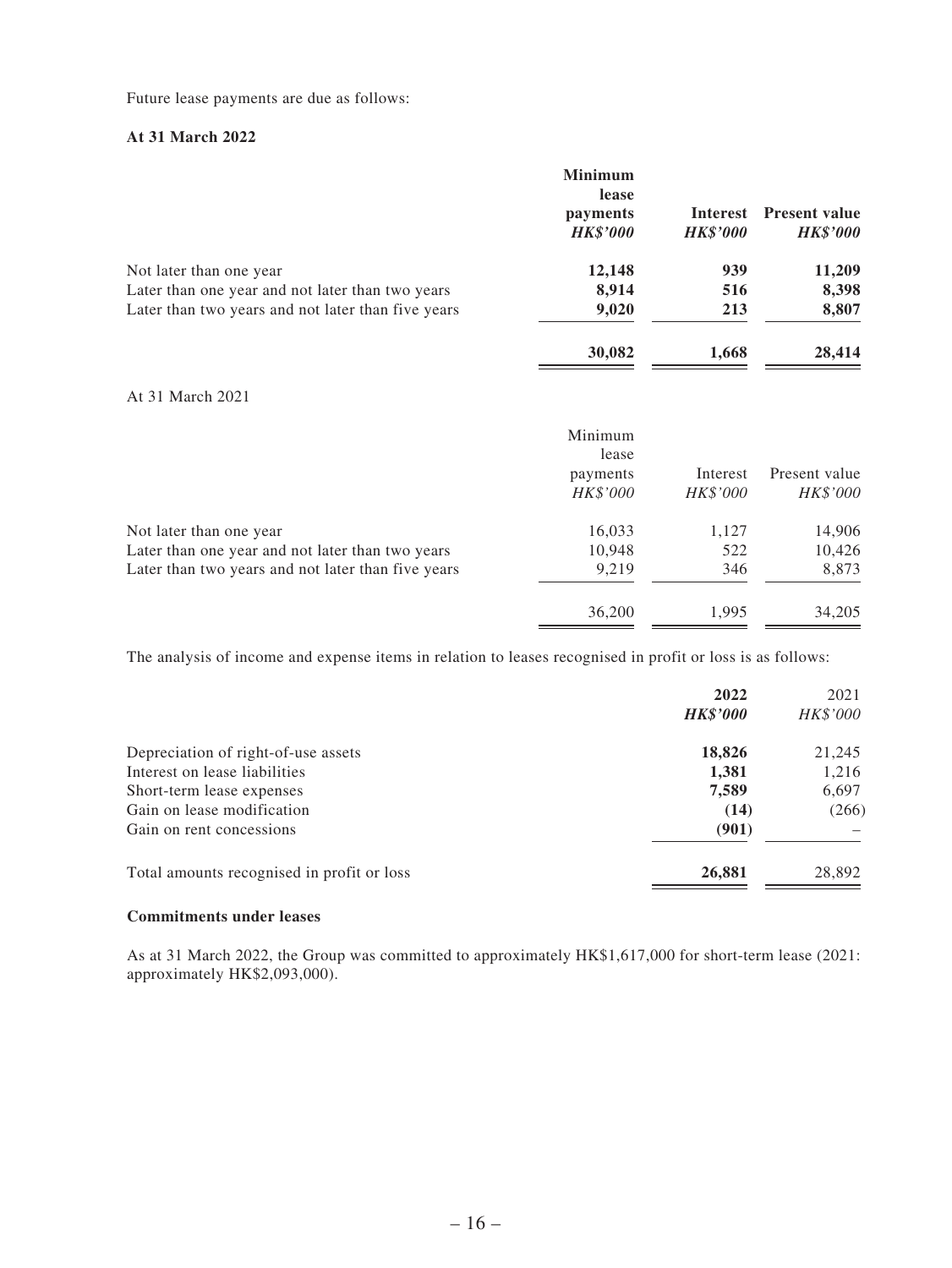Future lease payments are due as follows:

#### **At 31 March 2022**

|                                                    | <b>Minimum</b><br>lease<br>payments<br><b>HK\$'000</b> | Interest<br><b>HK\$'000</b> | <b>Present value</b><br><b>HK\$'000</b> |
|----------------------------------------------------|--------------------------------------------------------|-----------------------------|-----------------------------------------|
| Not later than one year                            | 12,148                                                 | 939                         | 11,209                                  |
| Later than one year and not later than two years   | 8,914                                                  | 516                         | 8,398                                   |
| Later than two years and not later than five years | 9,020                                                  | 213                         | 8,807                                   |
|                                                    | 30,082                                                 | 1,668                       | 28,414                                  |

## At 31 March 2021

|                                                    | Minimum<br>lease<br>payments<br>HK\$'000 | Interest<br>HK\$'000 | Present value<br>HK\$'000 |
|----------------------------------------------------|------------------------------------------|----------------------|---------------------------|
| Not later than one year                            | 16,033                                   | 1,127                | 14,906                    |
| Later than one year and not later than two years   | 10,948                                   | 522                  | 10,426                    |
| Later than two years and not later than five years | 9.219                                    | 346                  | 8,873                     |
|                                                    | 36,200                                   | 1.995                | 34,205                    |

The analysis of income and expense items in relation to leases recognised in profit or loss is as follows:

|                                            | 2022<br><b>HK\$'000</b> | 2021<br>HK\$'000 |
|--------------------------------------------|-------------------------|------------------|
| Depreciation of right-of-use assets        | 18,826                  | 21,245           |
| Interest on lease liabilities              | 1,381                   | 1,216            |
| Short-term lease expenses                  | 7,589                   | 6,697            |
| Gain on lease modification                 | (14)                    | (266)            |
| Gain on rent concessions                   | (901)                   |                  |
| Total amounts recognised in profit or loss | 26,881                  | 28,892           |

#### **Commitments under leases**

As at 31 March 2022, the Group was committed to approximately HK\$1,617,000 for short-term lease (2021: approximately HK\$2,093,000).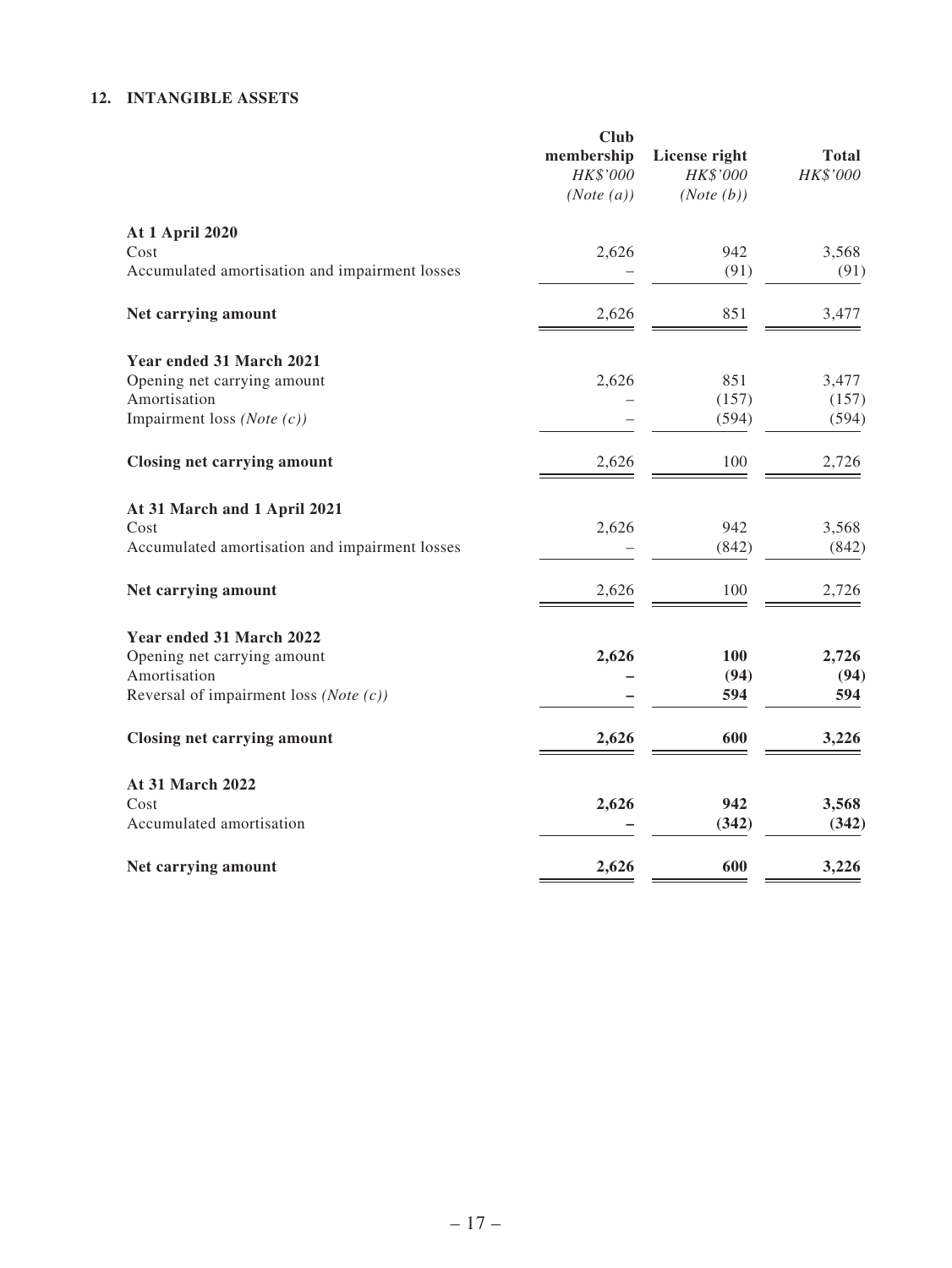#### **12. INTANGIBLE ASSETS**

|                                                | <b>Club</b><br>membership<br>HK\$'000<br>(Note (a)) | License right<br>HK\$'000<br>(Note(b)) | <b>Total</b><br>HK\$'000 |
|------------------------------------------------|-----------------------------------------------------|----------------------------------------|--------------------------|
|                                                |                                                     |                                        |                          |
| <b>At 1 April 2020</b>                         |                                                     |                                        |                          |
| Cost                                           | 2,626                                               | 942                                    | 3,568                    |
| Accumulated amortisation and impairment losses |                                                     | (91)                                   | (91)                     |
| Net carrying amount                            | 2,626                                               | 851                                    | 3,477                    |
| Year ended 31 March 2021                       |                                                     |                                        |                          |
| Opening net carrying amount                    | 2,626                                               | 851                                    | 3,477                    |
| Amortisation                                   |                                                     | (157)                                  | (157)                    |
| Impairment loss (Note $(c)$ )                  |                                                     | (594)                                  | (594)                    |
| <b>Closing net carrying amount</b>             | 2,626                                               | 100                                    | 2,726                    |
| At 31 March and 1 April 2021                   |                                                     |                                        |                          |
| Cost                                           | 2,626                                               | 942                                    | 3,568                    |
| Accumulated amortisation and impairment losses |                                                     | (842)                                  | (842)                    |
| Net carrying amount                            | 2,626                                               | 100                                    | 2,726                    |
| Year ended 31 March 2022                       |                                                     |                                        |                          |
| Opening net carrying amount                    | 2,626                                               | 100                                    | 2,726                    |
| Amortisation                                   |                                                     | (94)                                   | (94)                     |
| Reversal of impairment loss (Note $(c)$ )      |                                                     | 594                                    | 594                      |
| Closing net carrying amount                    | 2,626                                               | 600                                    | 3,226                    |
| At 31 March 2022                               |                                                     |                                        |                          |
| Cost                                           | 2,626                                               | 942                                    | 3,568                    |
| Accumulated amortisation                       |                                                     | (342)                                  | (342)                    |
| Net carrying amount                            | 2,626                                               | 600                                    | 3,226                    |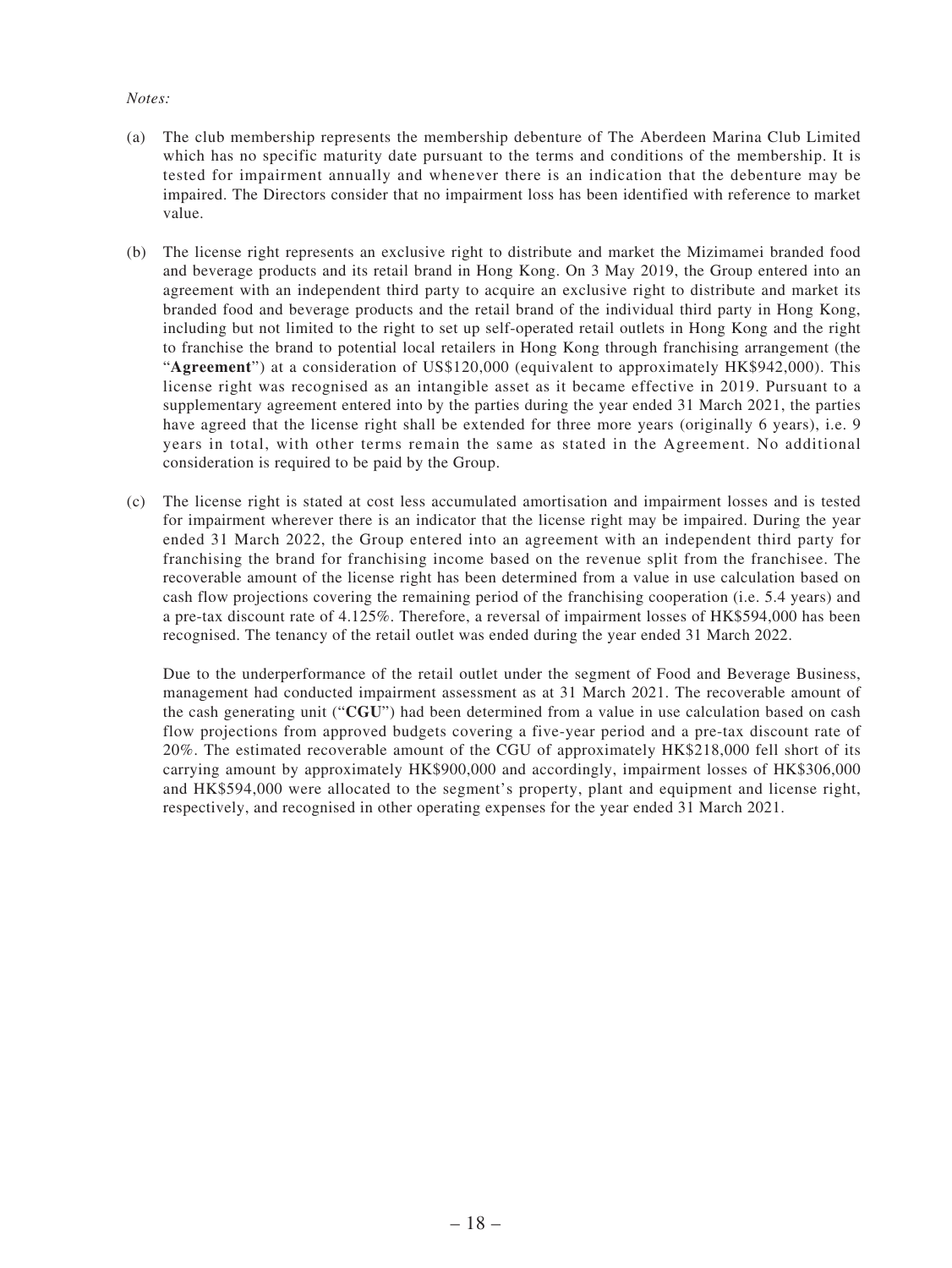#### *Notes:*

- (a) The club membership represents the membership debenture of The Aberdeen Marina Club Limited which has no specific maturity date pursuant to the terms and conditions of the membership. It is tested for impairment annually and whenever there is an indication that the debenture may be impaired. The Directors consider that no impairment loss has been identified with reference to market value.
- (b) The license right represents an exclusive right to distribute and market the Mizimamei branded food and beverage products and its retail brand in Hong Kong. On 3 May 2019, the Group entered into an agreement with an independent third party to acquire an exclusive right to distribute and market its branded food and beverage products and the retail brand of the individual third party in Hong Kong, including but not limited to the right to set up self-operated retail outlets in Hong Kong and the right to franchise the brand to potential local retailers in Hong Kong through franchising arrangement (the "**Agreement**") at a consideration of US\$120,000 (equivalent to approximately HK\$942,000). This license right was recognised as an intangible asset as it became effective in 2019. Pursuant to a supplementary agreement entered into by the parties during the year ended 31 March 2021, the parties have agreed that the license right shall be extended for three more years (originally 6 years), i.e. 9 years in total, with other terms remain the same as stated in the Agreement. No additional consideration is required to be paid by the Group.
- (c) The license right is stated at cost less accumulated amortisation and impairment losses and is tested for impairment wherever there is an indicator that the license right may be impaired. During the year ended 31 March 2022, the Group entered into an agreement with an independent third party for franchising the brand for franchising income based on the revenue split from the franchisee. The recoverable amount of the license right has been determined from a value in use calculation based on cash flow projections covering the remaining period of the franchising cooperation (i.e. 5.4 years) and a pre-tax discount rate of 4.125%. Therefore, a reversal of impairment losses of HK\$594,000 has been recognised. The tenancy of the retail outlet was ended during the year ended 31 March 2022.

Due to the underperformance of the retail outlet under the segment of Food and Beverage Business, management had conducted impairment assessment as at 31 March 2021. The recoverable amount of the cash generating unit ("**CGU**") had been determined from a value in use calculation based on cash flow projections from approved budgets covering a five-year period and a pre-tax discount rate of 20%. The estimated recoverable amount of the CGU of approximately HK\$218,000 fell short of its carrying amount by approximately HK\$900,000 and accordingly, impairment losses of HK\$306,000 and HK\$594,000 were allocated to the segment's property, plant and equipment and license right, respectively, and recognised in other operating expenses for the year ended 31 March 2021.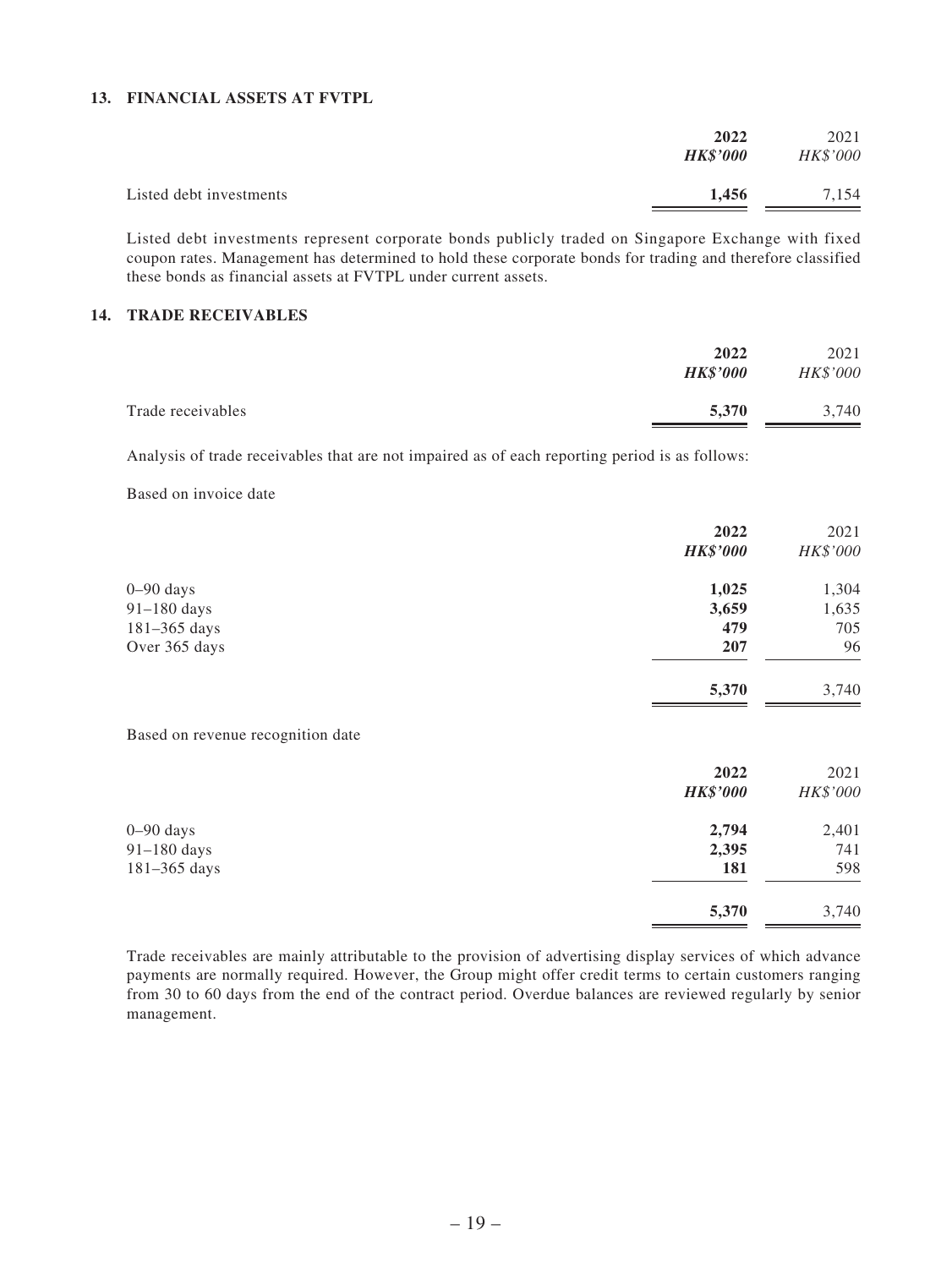#### **13. FINANCIAL ASSETS AT FVTPL**

|                         | 2022<br><b>HK\$'000</b> | 2021<br>HK\$'000 |
|-------------------------|-------------------------|------------------|
| Listed debt investments | 1,456                   | 7,154            |

Listed debt investments represent corporate bonds publicly traded on Singapore Exchange with fixed coupon rates. Management has determined to hold these corporate bonds for trading and therefore classified these bonds as financial assets at FVTPL under current assets.

#### **14. TRADE RECEIVABLES**

| 2022                       | 2021     |
|----------------------------|----------|
| <b>HK\$'000</b>            | HK\$'000 |
| 5,370<br>Trade receivables | 3,740    |

Analysis of trade receivables that are not impaired as of each reporting period is as follows:

Based on invoice date

|                                   | 2022            | 2021     |
|-----------------------------------|-----------------|----------|
|                                   | <b>HK\$'000</b> | HK\$'000 |
| $0 - 90$ days                     | 1,025           | 1,304    |
| $91-180$ days                     | 3,659           | 1,635    |
| $181 - 365$ days                  | 479             | 705      |
| Over 365 days                     | 207             | 96       |
|                                   | 5,370           | 3,740    |
| Based on revenue recognition date |                 |          |
|                                   | 2022            | 2021     |
|                                   | <b>HK\$'000</b> | HK\$'000 |
| $0 - 90$ days                     | 2,794           | 2,401    |

| $91-180$ days                                                                                                                                                                                                           | 2.395 | 741   |
|-------------------------------------------------------------------------------------------------------------------------------------------------------------------------------------------------------------------------|-------|-------|
| $181 - 365$ days                                                                                                                                                                                                        | 181   | 598   |
|                                                                                                                                                                                                                         | 5.370 | 3.740 |
| Trade receivables are mainly attributable to the provision of advertising display services of which advance<br>nayments are normally required. However, the Group might offer credit terms to certain customers ranging |       |       |

payments are normally required. However, the Group might offer credit terms to certain customers ranging from 30 to 60 days from the end of the contract period. Overdue balances are reviewed regularly by senior management.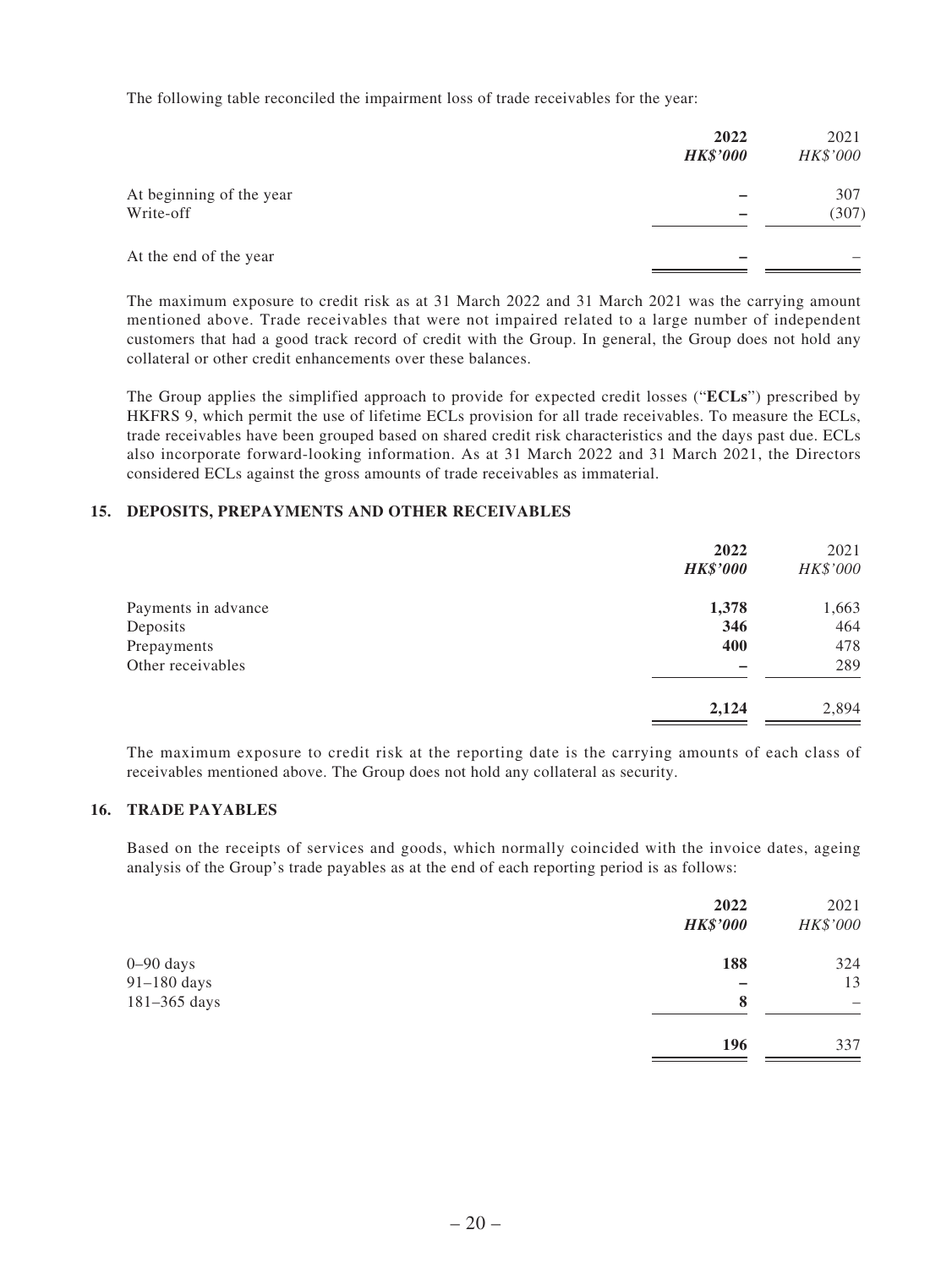The following table reconciled the impairment loss of trade receivables for the year:

|                                       | 2022<br><b>HK\$'000</b> | 2021<br>HK\$'000 |
|---------------------------------------|-------------------------|------------------|
| At beginning of the year<br>Write-off |                         | 307<br>(307)     |
| At the end of the year                |                         |                  |

The maximum exposure to credit risk as at 31 March 2022 and 31 March 2021 was the carrying amount mentioned above. Trade receivables that were not impaired related to a large number of independent customers that had a good track record of credit with the Group. In general, the Group does not hold any collateral or other credit enhancements over these balances.

The Group applies the simplified approach to provide for expected credit losses ("**ECLs**") prescribed by HKFRS 9, which permit the use of lifetime ECLs provision for all trade receivables. To measure the ECLs, trade receivables have been grouped based on shared credit risk characteristics and the days past due. ECLs also incorporate forward-looking information. As at 31 March 2022 and 31 March 2021, the Directors considered ECLs against the gross amounts of trade receivables as immaterial.

#### **15. DEPOSITS, PREPAYMENTS AND OTHER RECEIVABLES**

|                     | 2022<br><b>HK\$'000</b> | 2021<br>HK\$'000 |
|---------------------|-------------------------|------------------|
| Payments in advance | 1,378                   | 1,663            |
| Deposits            | 346                     | 464              |
| Prepayments         | 400                     | 478              |
| Other receivables   |                         | 289              |
|                     | 2,124                   | 2,894            |

The maximum exposure to credit risk at the reporting date is the carrying amounts of each class of receivables mentioned above. The Group does not hold any collateral as security.

#### **16. TRADE PAYABLES**

Based on the receipts of services and goods, which normally coincided with the invoice dates, ageing analysis of the Group's trade payables as at the end of each reporting period is as follows:

|               | 2022<br><b>HK\$'000</b> | 2021<br>HK\$'000 |
|---------------|-------------------------|------------------|
| $0 - 90$ days | 188                     | 324              |
| 91-180 days   |                         | 13               |
| 181-365 days  | 8                       | -                |
|               | 196                     | 337              |
|               |                         |                  |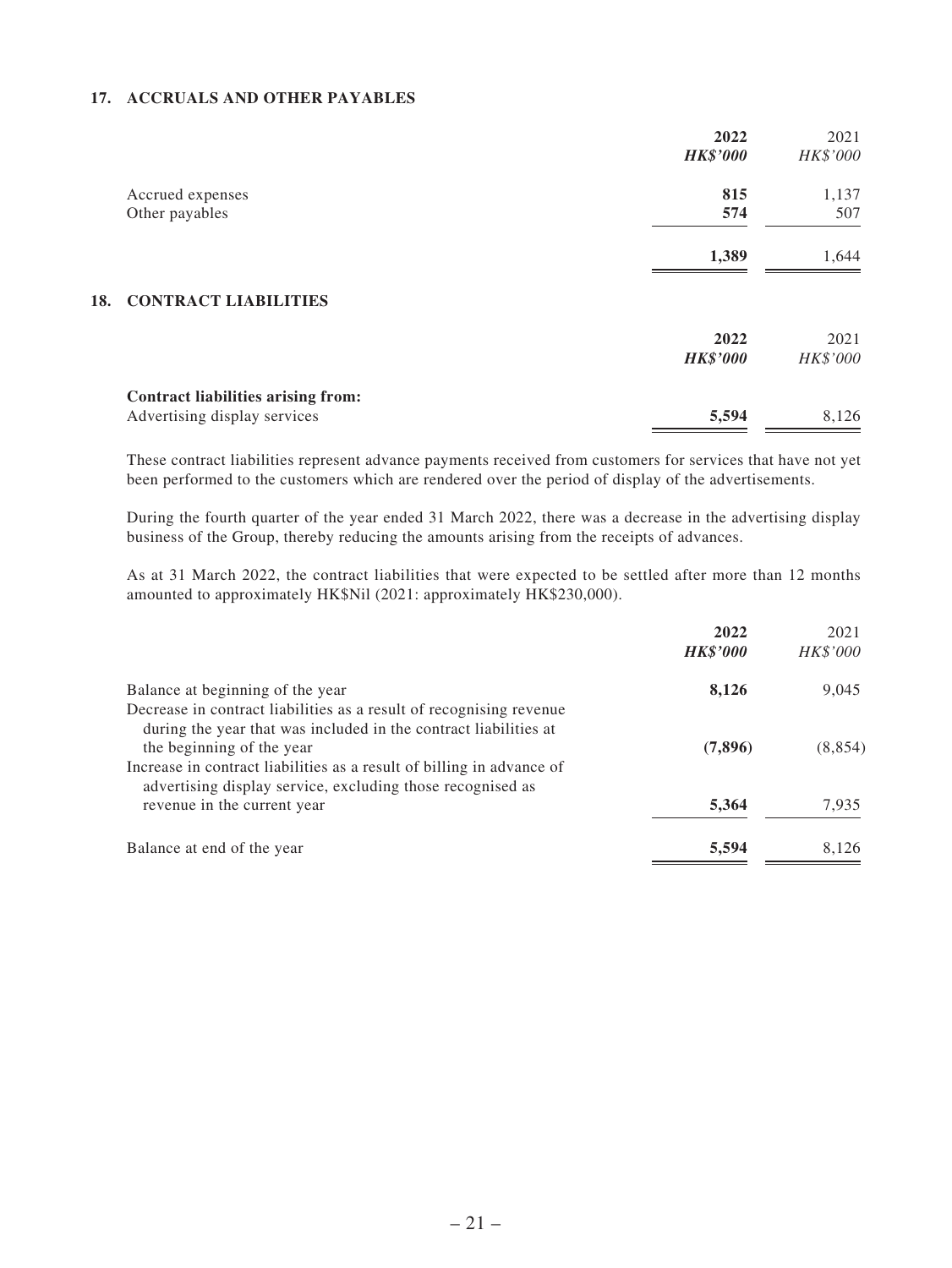#### **17. ACCRUALS AND OTHER PAYABLES**

|                                           | 2022            | 2021     |
|-------------------------------------------|-----------------|----------|
|                                           | <b>HK\$'000</b> | HK\$'000 |
| Accrued expenses                          | 815             | 1,137    |
| Other payables                            | 574             | 507      |
|                                           | 1,389           | 1,644    |
| <b>CONTRACT LIABILITIES</b><br>18.        |                 |          |
|                                           | 2022            | 2021     |
|                                           | <b>HK\$'000</b> | HK\$'000 |
| <b>Contract liabilities arising from:</b> |                 |          |
| Advertising display services              | 5,594           | 8,126    |

These contract liabilities represent advance payments received from customers for services that have not yet been performed to the customers which are rendered over the period of display of the advertisements.

During the fourth quarter of the year ended 31 March 2022, there was a decrease in the advertising display business of the Group, thereby reducing the amounts arising from the receipts of advances.

As at 31 March 2022, the contract liabilities that were expected to be settled after more than 12 months amounted to approximately HK\$Nil (2021: approximately HK\$230,000).

|                                                                                                                                                                      | 2022            | 2021     |
|----------------------------------------------------------------------------------------------------------------------------------------------------------------------|-----------------|----------|
|                                                                                                                                                                      | <b>HK\$'000</b> | HK\$'000 |
| Balance at beginning of the year                                                                                                                                     | 8,126           | 9,045    |
| Decrease in contract liabilities as a result of recognising revenue<br>during the year that was included in the contract liabilities at<br>the beginning of the year | (7,896)         | (8, 854) |
| Increase in contract liabilities as a result of billing in advance of<br>advertising display service, excluding those recognised as                                  |                 |          |
| revenue in the current year                                                                                                                                          | 5,364           | 7,935    |
| Balance at end of the year                                                                                                                                           | 5,594           | 8,126    |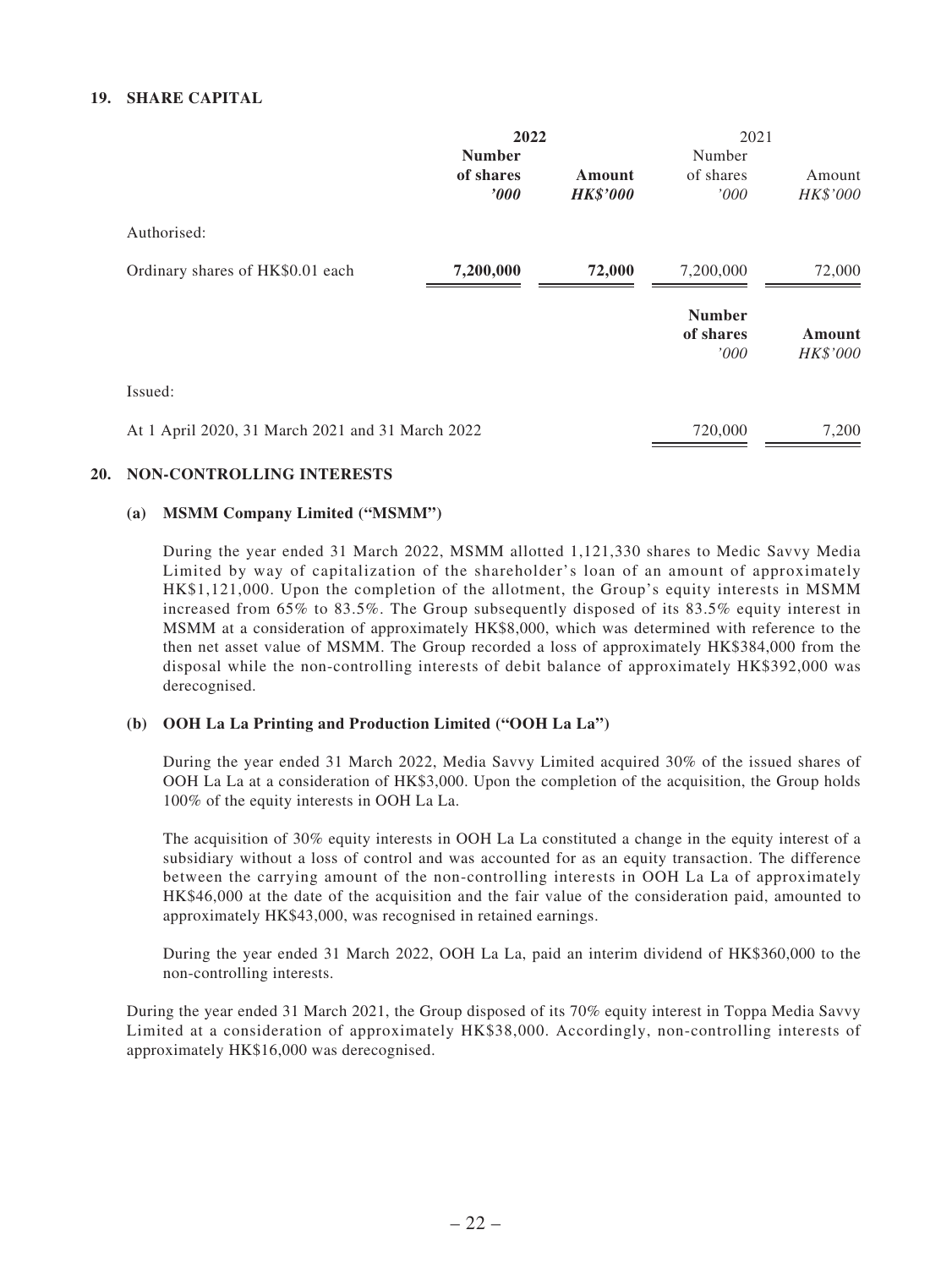#### **19. SHARE CAPITAL**

|                                                  | 2022<br><b>Number</b> |                           | 2021<br>Number                     |                           |
|--------------------------------------------------|-----------------------|---------------------------|------------------------------------|---------------------------|
|                                                  | of shares<br>'000     | Amount<br><b>HK\$'000</b> | of shares<br>'000                  | Amount<br>HK\$'000        |
| Authorised:                                      |                       |                           |                                    |                           |
| Ordinary shares of HK\$0.01 each                 | 7,200,000             | 72,000                    | 7,200,000                          | 72,000                    |
|                                                  |                       |                           | <b>Number</b><br>of shares<br>'000 | <b>Amount</b><br>HK\$'000 |
| Issued:                                          |                       |                           |                                    |                           |
| At 1 April 2020, 31 March 2021 and 31 March 2022 |                       |                           | 720,000                            | 7,200                     |

#### **20. NON-CONTROLLING INTERESTS**

#### **(a) MSMM Company Limited ("MSMM")**

During the year ended 31 March 2022, MSMM allotted 1,121,330 shares to Medic Savvy Media Limited by way of capitalization of the shareholder's loan of an amount of approximately HK\$1,121,000. Upon the completion of the allotment, the Group's equity interests in MSMM increased from 65% to 83.5%. The Group subsequently disposed of its 83.5% equity interest in MSMM at a consideration of approximately HK\$8,000, which was determined with reference to the then net asset value of MSMM. The Group recorded a loss of approximately HK\$384,000 from the disposal while the non-controlling interests of debit balance of approximately HK\$392,000 was derecognised.

#### **(b) OOH La La Printing and Production Limited ("OOH La La")**

During the year ended 31 March 2022, Media Savvy Limited acquired 30% of the issued shares of OOH La La at a consideration of HK\$3,000. Upon the completion of the acquisition, the Group holds 100% of the equity interests in OOH La La.

The acquisition of 30% equity interests in OOH La La constituted a change in the equity interest of a subsidiary without a loss of control and was accounted for as an equity transaction. The difference between the carrying amount of the non-controlling interests in OOH La La of approximately HK\$46,000 at the date of the acquisition and the fair value of the consideration paid, amounted to approximately HK\$43,000, was recognised in retained earnings.

During the year ended 31 March 2022, OOH La La, paid an interim dividend of HK\$360,000 to the non-controlling interests.

During the year ended 31 March 2021, the Group disposed of its 70% equity interest in Toppa Media Savvy Limited at a consideration of approximately HK\$38,000. Accordingly, non-controlling interests of approximately HK\$16,000 was derecognised.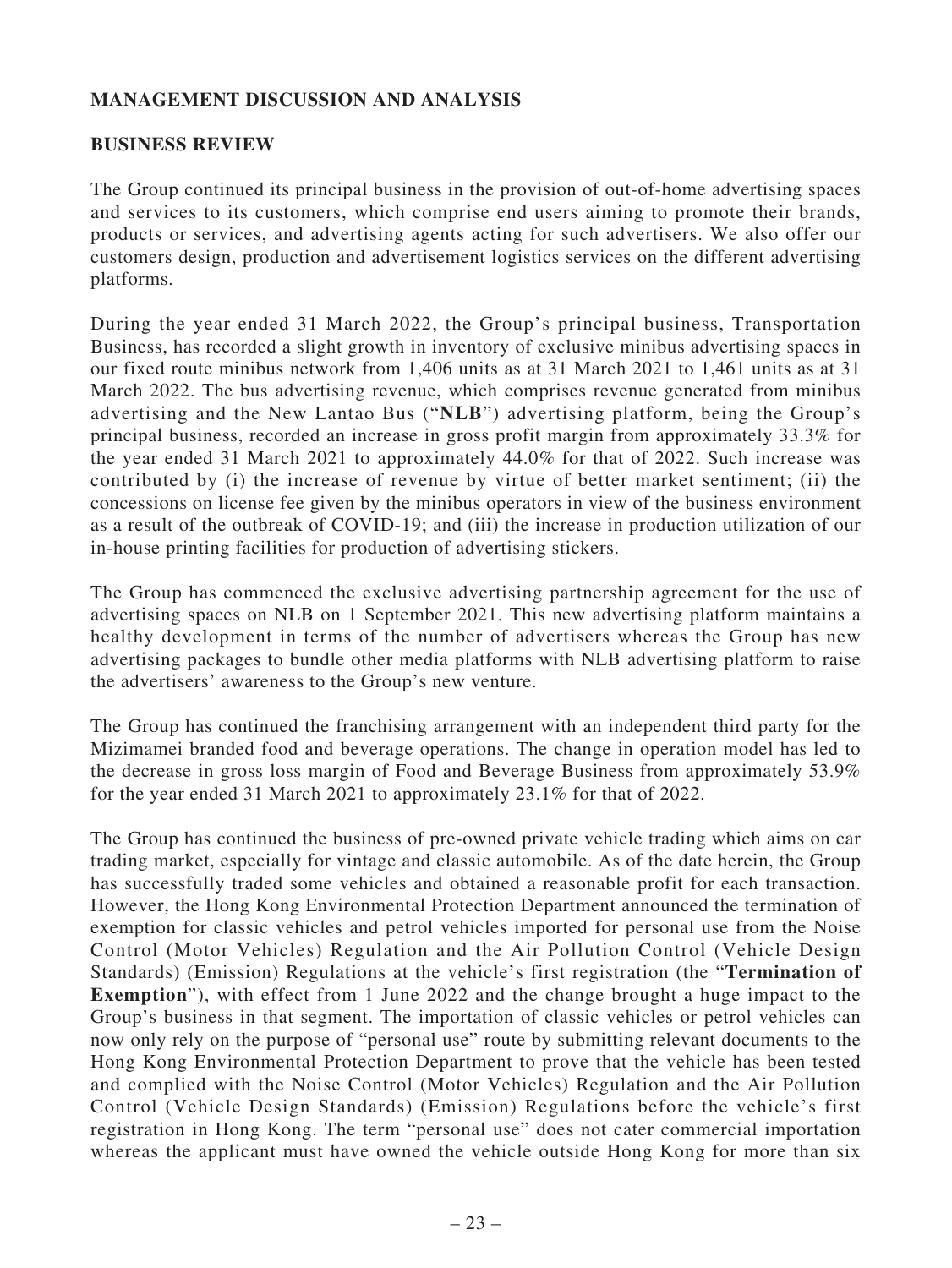## **MANAGEMENT DISCUSSION AND ANALYSIS**

## **BUSINESS REVIEW**

The Group continued its principal business in the provision of out-of-home advertising spaces and services to its customers, which comprise end users aiming to promote their brands, products or services, and advertising agents acting for such advertisers. We also offer our customers design, production and advertisement logistics services on the different advertising platforms.

During the year ended 31 March 2022, the Group's principal business, Transportation Business, has recorded a slight growth in inventory of exclusive minibus advertising spaces in our fixed route minibus network from 1,406 units as at 31 March 2021 to 1,461 units as at 31 March 2022. The bus advertising revenue, which comprises revenue generated from minibus advertising and the New Lantao Bus ("**NLB**") advertising platform, being the Group's principal business, recorded an increase in gross profit margin from approximately 33.3% for the year ended 31 March 2021 to approximately 44.0% for that of 2022. Such increase was contributed by (i) the increase of revenue by virtue of better market sentiment; (ii) the concessions on license fee given by the minibus operators in view of the business environment as a result of the outbreak of COVID-19; and (iii) the increase in production utilization of our in-house printing facilities for production of advertising stickers.

The Group has commenced the exclusive advertising partnership agreement for the use of advertising spaces on NLB on 1 September 2021. This new advertising platform maintains a healthy development in terms of the number of advertisers whereas the Group has new advertising packages to bundle other media platforms with NLB advertising platform to raise the advertisers' awareness to the Group's new venture.

The Group has continued the franchising arrangement with an independent third party for the Mizimamei branded food and beverage operations. The change in operation model has led to the decrease in gross loss margin of Food and Beverage Business from approximately 53.9% for the year ended 31 March 2021 to approximately 23.1% for that of 2022.

The Group has continued the business of pre-owned private vehicle trading which aims on car trading market, especially for vintage and classic automobile. As of the date herein, the Group has successfully traded some vehicles and obtained a reasonable profit for each transaction. However, the Hong Kong Environmental Protection Department announced the termination of exemption for classic vehicles and petrol vehicles imported for personal use from the Noise Control (Motor Vehicles) Regulation and the Air Pollution Control (Vehicle Design Standards) (Emission) Regulations at the vehicle's first registration (the "**Termination of Exemption**"), with effect from 1 June 2022 and the change brought a huge impact to the Group's business in that segment. The importation of classic vehicles or petrol vehicles can now only rely on the purpose of "personal use" route by submitting relevant documents to the Hong Kong Environmental Protection Department to prove that the vehicle has been tested and complied with the Noise Control (Motor Vehicles) Regulation and the Air Pollution Control (Vehicle Design Standards) (Emission) Regulations before the vehicle's first registration in Hong Kong. The term "personal use" does not cater commercial importation whereas the applicant must have owned the vehicle outside Hong Kong for more than six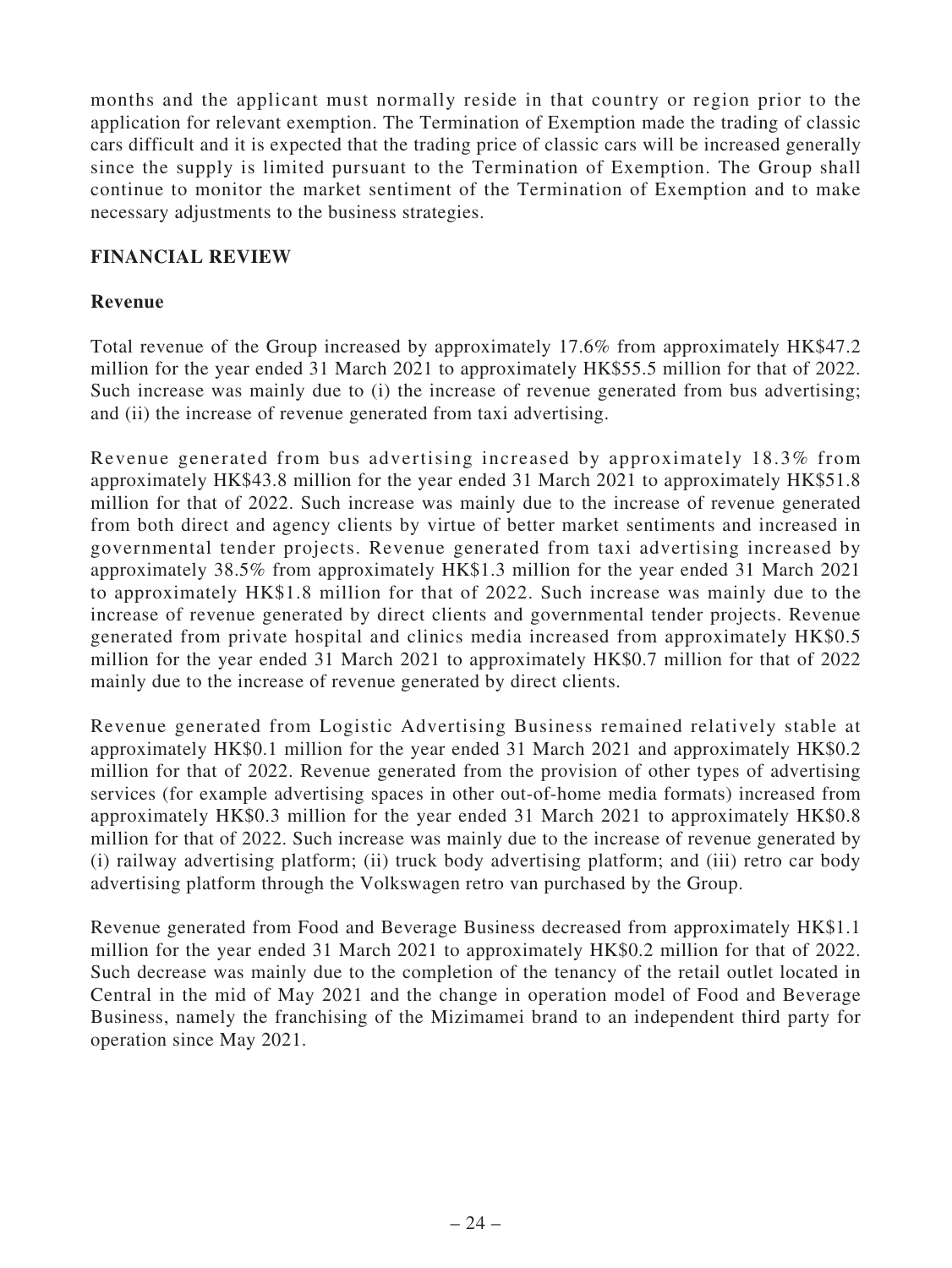months and the applicant must normally reside in that country or region prior to the application for relevant exemption. The Termination of Exemption made the trading of classic cars difficult and it is expected that the trading price of classic cars will be increased generally since the supply is limited pursuant to the Termination of Exemption. The Group shall continue to monitor the market sentiment of the Termination of Exemption and to make necessary adjustments to the business strategies.

## **FINANCIAL REVIEW**

## **Revenue**

Total revenue of the Group increased by approximately 17.6% from approximately HK\$47.2 million for the year ended 31 March 2021 to approximately HK\$55.5 million for that of 2022. Such increase was mainly due to (i) the increase of revenue generated from bus advertising; and (ii) the increase of revenue generated from taxi advertising.

Revenue generated from bus advertising increased by approximately 18.3% from approximately HK\$43.8 million for the year ended 31 March 2021 to approximately HK\$51.8 million for that of 2022. Such increase was mainly due to the increase of revenue generated from both direct and agency clients by virtue of better market sentiments and increased in governmental tender projects. Revenue generated from taxi advertising increased by approximately 38.5% from approximately HK\$1.3 million for the year ended 31 March 2021 to approximately HK\$1.8 million for that of 2022. Such increase was mainly due to the increase of revenue generated by direct clients and governmental tender projects. Revenue generated from private hospital and clinics media increased from approximately HK\$0.5 million for the year ended 31 March 2021 to approximately HK\$0.7 million for that of 2022 mainly due to the increase of revenue generated by direct clients.

Revenue generated from Logistic Advertising Business remained relatively stable at approximately HK\$0.1 million for the year ended 31 March 2021 and approximately HK\$0.2 million for that of 2022. Revenue generated from the provision of other types of advertising services (for example advertising spaces in other out-of-home media formats) increased from approximately HK\$0.3 million for the year ended 31 March 2021 to approximately HK\$0.8 million for that of 2022. Such increase was mainly due to the increase of revenue generated by (i) railway advertising platform; (ii) truck body advertising platform; and (iii) retro car body advertising platform through the Volkswagen retro van purchased by the Group.

Revenue generated from Food and Beverage Business decreased from approximately HK\$1.1 million for the year ended 31 March 2021 to approximately HK\$0.2 million for that of 2022. Such decrease was mainly due to the completion of the tenancy of the retail outlet located in Central in the mid of May 2021 and the change in operation model of Food and Beverage Business, namely the franchising of the Mizimamei brand to an independent third party for operation since May 2021.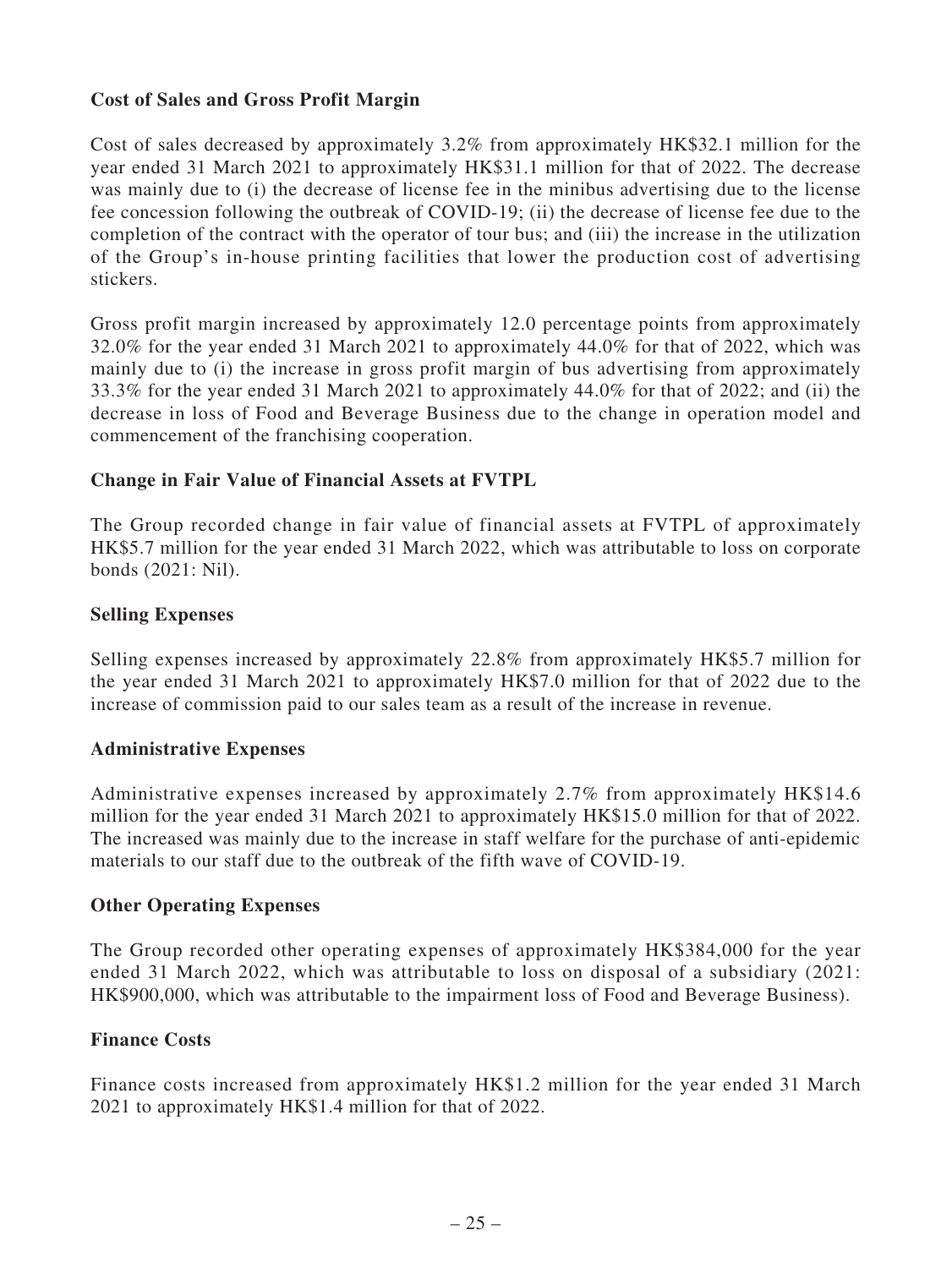## **Cost of Sales and Gross Profit Margin**

Cost of sales decreased by approximately 3.2% from approximately HK\$32.1 million for the year ended 31 March 2021 to approximately HK\$31.1 million for that of 2022. The decrease was mainly due to (i) the decrease of license fee in the minibus advertising due to the license fee concession following the outbreak of COVID-19; (ii) the decrease of license fee due to the completion of the contract with the operator of tour bus; and (iii) the increase in the utilization of the Group's in-house printing facilities that lower the production cost of advertising stickers.

Gross profit margin increased by approximately 12.0 percentage points from approximately 32.0% for the year ended 31 March 2021 to approximately 44.0% for that of 2022, which was mainly due to (i) the increase in gross profit margin of bus advertising from approximately 33.3% for the year ended 31 March 2021 to approximately 44.0% for that of 2022; and (ii) the decrease in loss of Food and Beverage Business due to the change in operation model and commencement of the franchising cooperation.

## **Change in Fair Value of Financial Assets at FVTPL**

The Group recorded change in fair value of financial assets at FVTPL of approximately HK\$5.7 million for the year ended 31 March 2022, which was attributable to loss on corporate bonds (2021: Nil).

## **Selling Expenses**

Selling expenses increased by approximately 22.8% from approximately HK\$5.7 million for the year ended 31 March 2021 to approximately HK\$7.0 million for that of 2022 due to the increase of commission paid to our sales team as a result of the increase in revenue.

## **Administrative Expenses**

Administrative expenses increased by approximately 2.7% from approximately HK\$14.6 million for the year ended 31 March 2021 to approximately HK\$15.0 million for that of 2022. The increased was mainly due to the increase in staff welfare for the purchase of anti-epidemic materials to our staff due to the outbreak of the fifth wave of COVID-19.

## **Other Operating Expenses**

The Group recorded other operating expenses of approximately HK\$384,000 for the year ended 31 March 2022, which was attributable to loss on disposal of a subsidiary (2021: HK\$900,000, which was attributable to the impairment loss of Food and Beverage Business).

## **Finance Costs**

Finance costs increased from approximately HK\$1.2 million for the year ended 31 March 2021 to approximately HK\$1.4 million for that of 2022.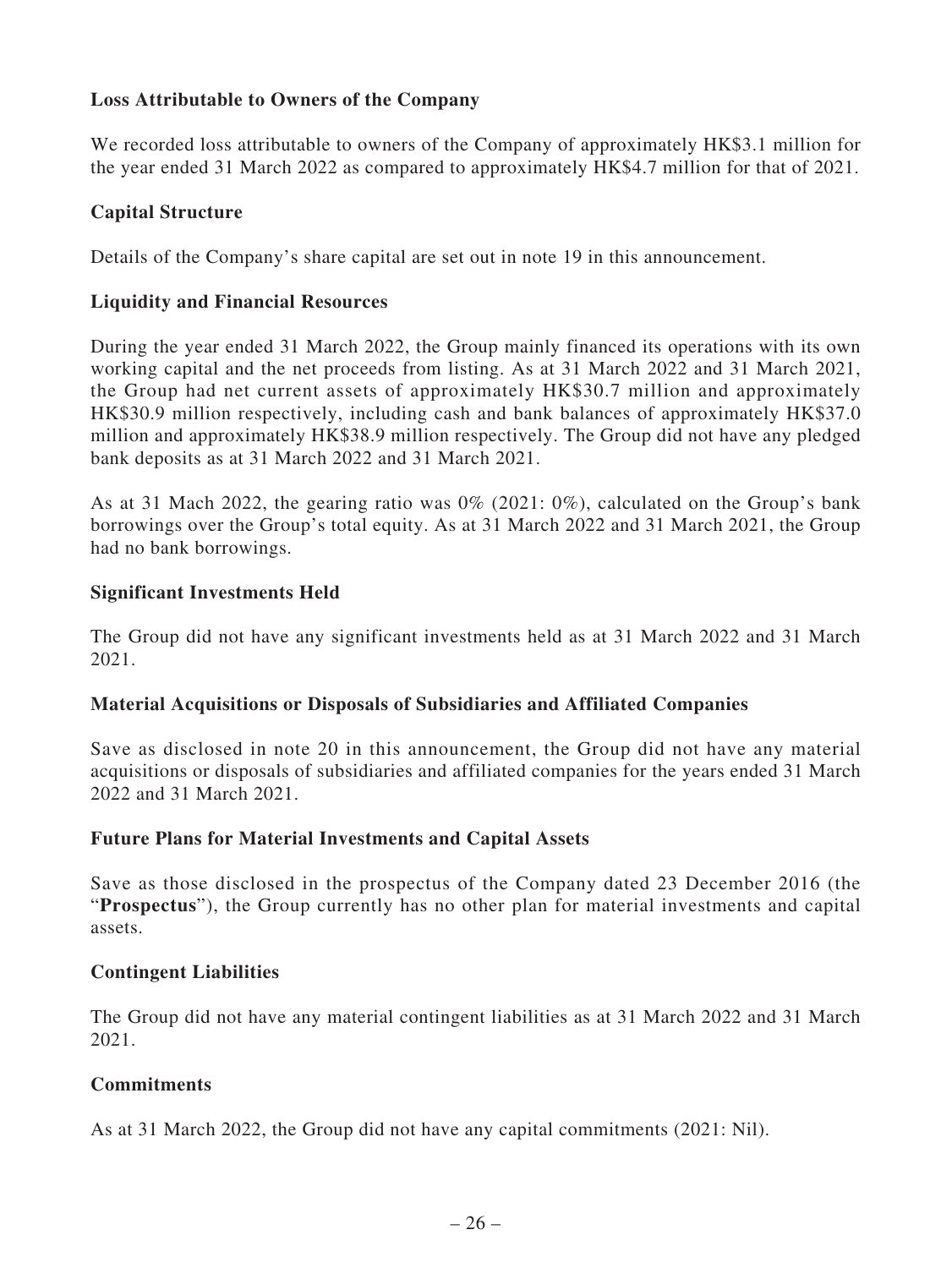## **Loss Attributable to Owners of the Company**

We recorded loss attributable to owners of the Company of approximately HK\$3.1 million for the year ended 31 March 2022 as compared to approximately HK\$4.7 million for that of 2021.

## **Capital Structure**

Details of the Company's share capital are set out in note 19 in this announcement.

## **Liquidity and Financial Resources**

During the year ended 31 March 2022, the Group mainly financed its operations with its own working capital and the net proceeds from listing. As at 31 March 2022 and 31 March 2021, the Group had net current assets of approximately HK\$30.7 million and approximately HK\$30.9 million respectively, including cash and bank balances of approximately HK\$37.0 million and approximately HK\$38.9 million respectively. The Group did not have any pledged bank deposits as at 31 March 2022 and 31 March 2021.

As at 31 Mach 2022, the gearing ratio was 0% (2021: 0%), calculated on the Group's bank borrowings over the Group's total equity. As at 31 March 2022 and 31 March 2021, the Group had no bank borrowings.

## **Significant Investments Held**

The Group did not have any significant investments held as at 31 March 2022 and 31 March 2021.

## **Material Acquisitions or Disposals of Subsidiaries and Affiliated Companies**

Save as disclosed in note 20 in this announcement, the Group did not have any material acquisitions or disposals of subsidiaries and affiliated companies for the years ended 31 March 2022 and 31 March 2021.

## **Future Plans for Material Investments and Capital Assets**

Save as those disclosed in the prospectus of the Company dated 23 December 2016 (the "**Prospectus**"), the Group currently has no other plan for material investments and capital assets.

## **Contingent Liabilities**

The Group did not have any material contingent liabilities as at 31 March 2022 and 31 March 2021.

## **Commitments**

As at 31 March 2022, the Group did not have any capital commitments (2021: Nil).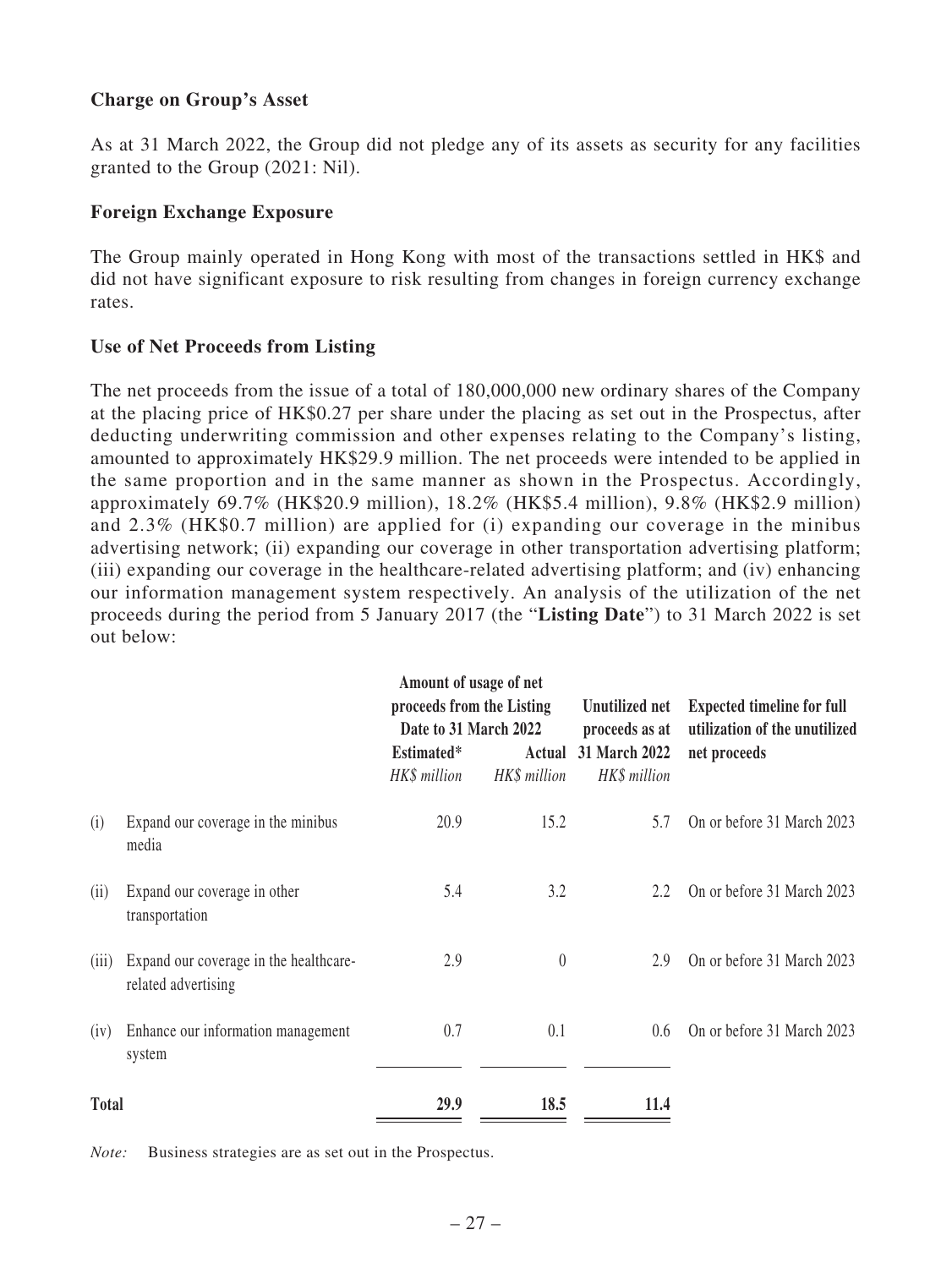## **Charge on Group's Asset**

As at 31 March 2022, the Group did not pledge any of its assets as security for any facilities granted to the Group (2021: Nil).

## **Foreign Exchange Exposure**

The Group mainly operated in Hong Kong with most of the transactions settled in HK\$ and did not have significant exposure to risk resulting from changes in foreign currency exchange rates.

## **Use of Net Proceeds from Listing**

The net proceeds from the issue of a total of 180,000,000 new ordinary shares of the Company at the placing price of HK\$0.27 per share under the placing as set out in the Prospectus, after deducting underwriting commission and other expenses relating to the Company's listing, amounted to approximately HK\$29.9 million. The net proceeds were intended to be applied in the same proportion and in the same manner as shown in the Prospectus. Accordingly, approximately 69.7% (HK\$20.9 million), 18.2% (HK\$5.4 million), 9.8% (HK\$2.9 million) and 2.3% (HK\$0.7 million) are applied for (i) expanding our coverage in the minibus advertising network; (ii) expanding our coverage in other transportation advertising platform; (iii) expanding our coverage in the healthcare-related advertising platform; and (iv) enhancing our information management system respectively. An analysis of the utilization of the net proceeds during the period from 5 January 2017 (the "**Listing Date**") to 31 March 2022 is set out below:

|              | Amount of usage of net<br>proceeds from the Listing<br>Date to 31 March 2022<br>Estimated* |              | Actual 31 March 2022 |              | <b>Expected timeline for full</b><br>utilization of the unutilized<br>net proceeds |
|--------------|--------------------------------------------------------------------------------------------|--------------|----------------------|--------------|------------------------------------------------------------------------------------|
|              |                                                                                            | HK\$ million | HK\$ million         | HK\$ million |                                                                                    |
| (i)          | Expand our coverage in the minibus<br>media                                                | 20.9         | 15.2                 | 5.7          | On or before 31 March 2023                                                         |
| (i)          | Expand our coverage in other<br>transportation                                             | 5.4          | 3.2                  | 2.2          | On or before 31 March 2023                                                         |
| (111)        | Expand our coverage in the healthcare-<br>related advertising                              | 2.9          | $\theta$             | 2.9          | On or before 31 March 2023                                                         |
| (iv)         | Enhance our information management<br>system                                               | 0.7          | 0.1                  | 0.6          | On or before 31 March 2023                                                         |
| <b>Total</b> |                                                                                            | 29.9         | 18.5                 | 11.4         |                                                                                    |

*Note:* Business strategies are as set out in the Prospectus.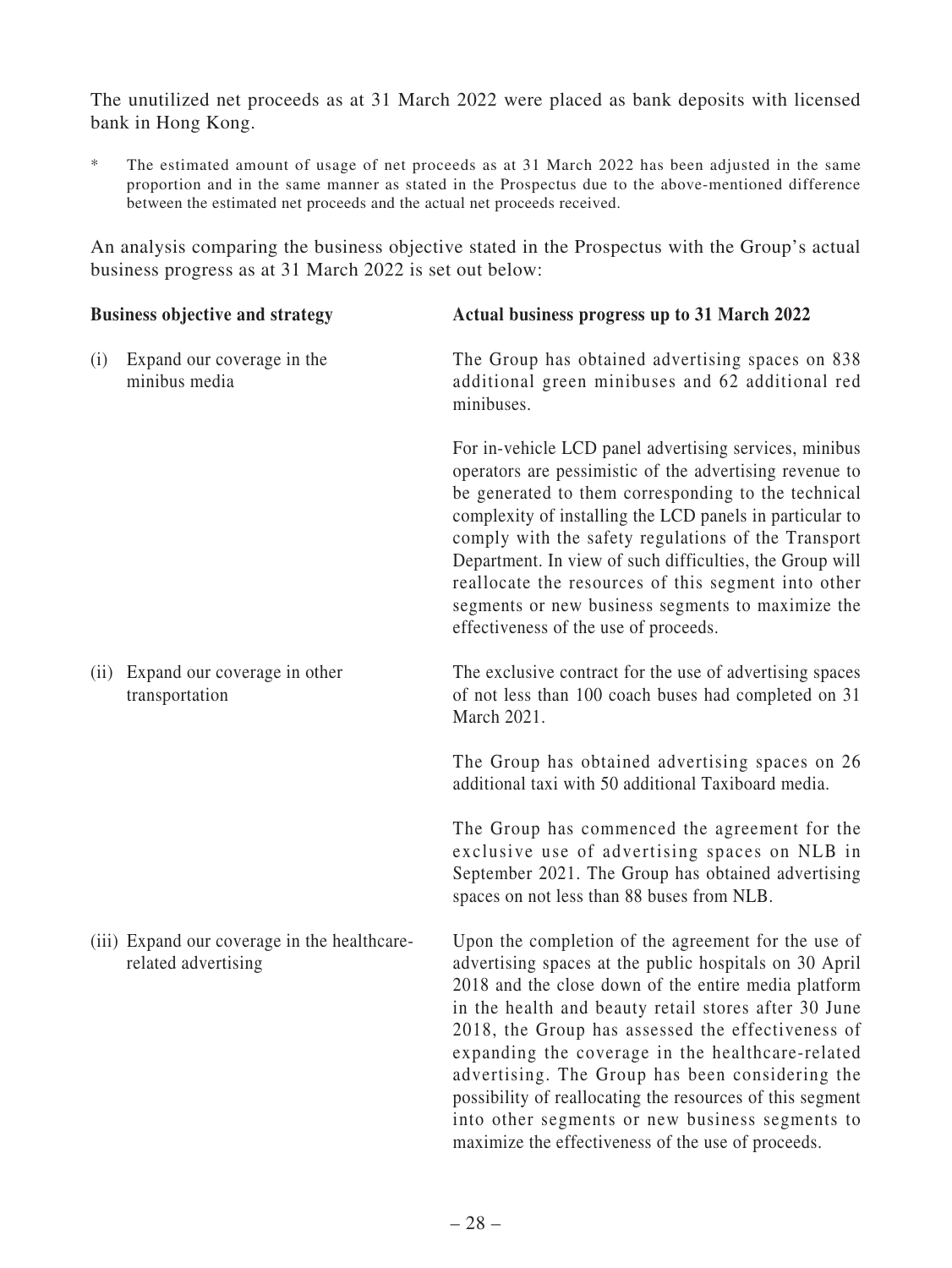The unutilized net proceeds as at 31 March 2022 were placed as bank deposits with licensed bank in Hong Kong.

\* The estimated amount of usage of net proceeds as at 31 March 2022 has been adjusted in the same proportion and in the same manner as stated in the Prospectus due to the above-mentioned difference between the estimated net proceeds and the actual net proceeds received.

An analysis comparing the business objective stated in the Prospectus with the Group's actual business progress as at 31 March 2022 is set out below:

| <b>Business objective and strategy</b> |                                                                     | Actual business progress up to 31 March 2022                                                                                                                                                                                                                                                                                                                                                                                                                                                                                                                    |  |  |
|----------------------------------------|---------------------------------------------------------------------|-----------------------------------------------------------------------------------------------------------------------------------------------------------------------------------------------------------------------------------------------------------------------------------------------------------------------------------------------------------------------------------------------------------------------------------------------------------------------------------------------------------------------------------------------------------------|--|--|
| (i)                                    | Expand our coverage in the<br>minibus media                         | The Group has obtained advertising spaces on 838<br>additional green minibuses and 62 additional red<br>minibuses.                                                                                                                                                                                                                                                                                                                                                                                                                                              |  |  |
|                                        |                                                                     | For in-vehicle LCD panel advertising services, minibus<br>operators are pessimistic of the advertising revenue to<br>be generated to them corresponding to the technical<br>complexity of installing the LCD panels in particular to<br>comply with the safety regulations of the Transport<br>Department. In view of such difficulties, the Group will<br>reallocate the resources of this segment into other<br>segments or new business segments to maximize the<br>effectiveness of the use of proceeds.                                                    |  |  |
| (ii)                                   | Expand our coverage in other<br>transportation                      | The exclusive contract for the use of advertising spaces<br>of not less than 100 coach buses had completed on 31<br>March 2021.                                                                                                                                                                                                                                                                                                                                                                                                                                 |  |  |
|                                        |                                                                     | The Group has obtained advertising spaces on 26<br>additional taxi with 50 additional Taxiboard media.                                                                                                                                                                                                                                                                                                                                                                                                                                                          |  |  |
|                                        |                                                                     | The Group has commenced the agreement for the<br>exclusive use of advertising spaces on NLB in<br>September 2021. The Group has obtained advertising<br>spaces on not less than 88 buses from NLB.                                                                                                                                                                                                                                                                                                                                                              |  |  |
|                                        | (iii) Expand our coverage in the healthcare-<br>related advertising | Upon the completion of the agreement for the use of<br>advertising spaces at the public hospitals on 30 April<br>2018 and the close down of the entire media platform<br>in the health and beauty retail stores after 30 June<br>2018, the Group has assessed the effectiveness of<br>expanding the coverage in the healthcare-related<br>advertising. The Group has been considering the<br>possibility of reallocating the resources of this segment<br>into other segments or new business segments to<br>maximize the effectiveness of the use of proceeds. |  |  |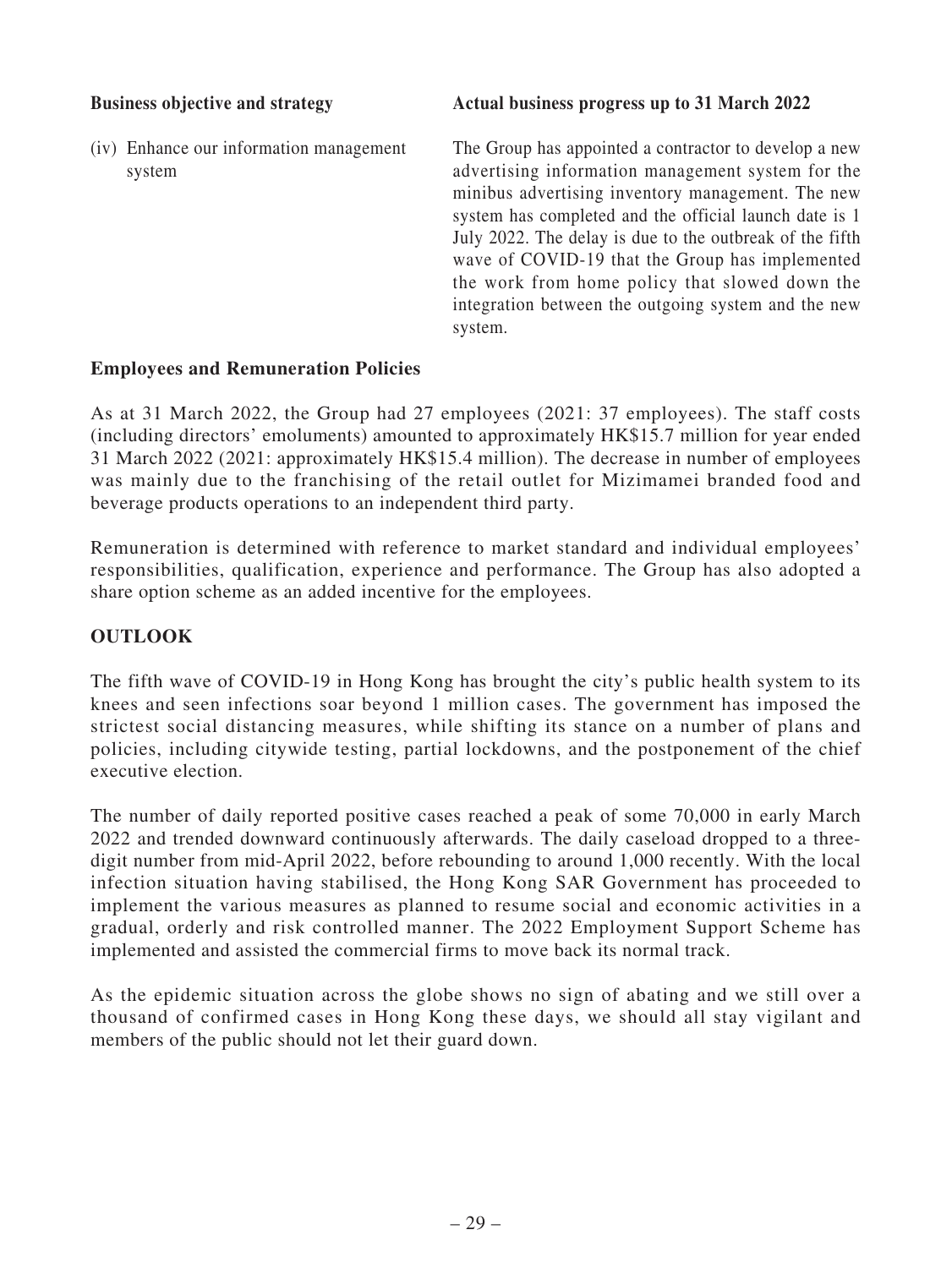(iv) Enhance our information management system

**Business objective and strategy**  $\qquad$  **Actual business progress up to 31 March 2022** 

The Group has appointed a contractor to develop a new advertising information management system for the minibus advertising inventory management. The new system has completed and the official launch date is 1 July 2022. The delay is due to the outbreak of the fifth wave of COVID-19 that the Group has implemented the work from home policy that slowed down the integration between the outgoing system and the new system.

## **Employees and Remuneration Policies**

As at 31 March 2022, the Group had 27 employees (2021: 37 employees). The staff costs (including directors' emoluments) amounted to approximately HK\$15.7 million for year ended 31 March 2022 (2021: approximately HK\$15.4 million). The decrease in number of employees was mainly due to the franchising of the retail outlet for Mizimamei branded food and beverage products operations to an independent third party.

Remuneration is determined with reference to market standard and individual employees' responsibilities, qualification, experience and performance. The Group has also adopted a share option scheme as an added incentive for the employees.

## **OUTLOOK**

The fifth wave of COVID-19 in Hong Kong has brought the city's public health system to its knees and seen infections soar beyond 1 million cases. The government has imposed the strictest social distancing measures, while shifting its stance on a number of plans and policies, including citywide testing, partial lockdowns, and the postponement of the chief executive election.

The number of daily reported positive cases reached a peak of some 70,000 in early March 2022 and trended downward continuously afterwards. The daily caseload dropped to a threedigit number from mid-April 2022, before rebounding to around 1,000 recently. With the local infection situation having stabilised, the Hong Kong SAR Government has proceeded to implement the various measures as planned to resume social and economic activities in a gradual, orderly and risk controlled manner. The 2022 Employment Support Scheme has implemented and assisted the commercial firms to move back its normal track.

As the epidemic situation across the globe shows no sign of abating and we still over a thousand of confirmed cases in Hong Kong these days, we should all stay vigilant and members of the public should not let their guard down.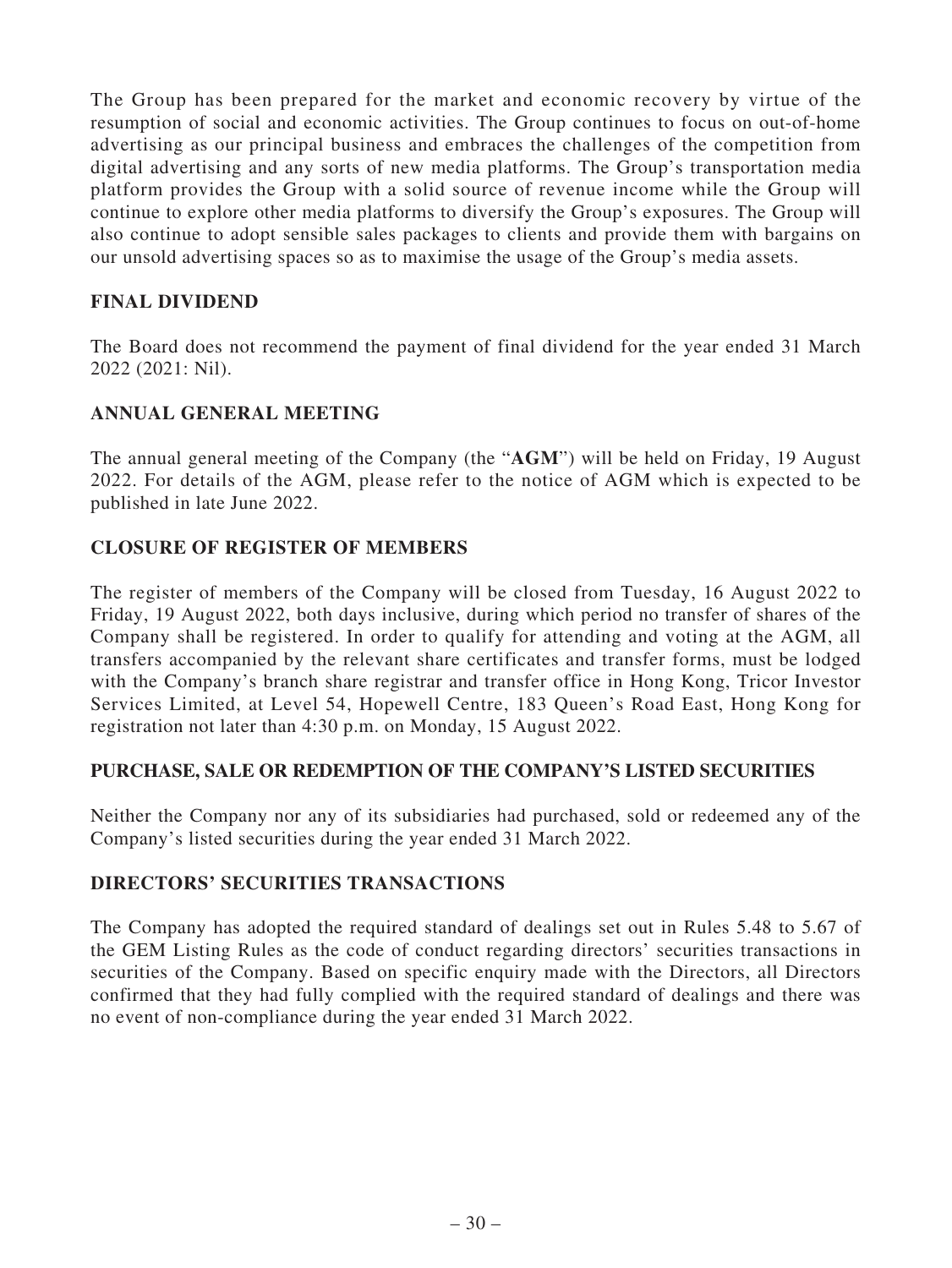The Group has been prepared for the market and economic recovery by virtue of the resumption of social and economic activities. The Group continues to focus on out-of-home advertising as our principal business and embraces the challenges of the competition from digital advertising and any sorts of new media platforms. The Group's transportation media platform provides the Group with a solid source of revenue income while the Group will continue to explore other media platforms to diversify the Group's exposures. The Group will also continue to adopt sensible sales packages to clients and provide them with bargains on our unsold advertising spaces so as to maximise the usage of the Group's media assets.

## **FINAL DIVIDEND**

The Board does not recommend the payment of final dividend for the year ended 31 March 2022 (2021: Nil).

## **ANNUAL GENERAL MEETING**

The annual general meeting of the Company (the "**AGM**") will be held on Friday, 19 August 2022. For details of the AGM, please refer to the notice of AGM which is expected to be published in late June 2022.

## **CLOSURE OF REGISTER OF MEMBERS**

The register of members of the Company will be closed from Tuesday, 16 August 2022 to Friday, 19 August 2022, both days inclusive, during which period no transfer of shares of the Company shall be registered. In order to qualify for attending and voting at the AGM, all transfers accompanied by the relevant share certificates and transfer forms, must be lodged with the Company's branch share registrar and transfer office in Hong Kong, Tricor Investor Services Limited, at Level 54, Hopewell Centre, 183 Queen's Road East, Hong Kong for registration not later than 4:30 p.m. on Monday, 15 August 2022.

## **PURCHASE, SALE OR REDEMPTION OF THE COMPANY'S LISTED SECURITIES**

Neither the Company nor any of its subsidiaries had purchased, sold or redeemed any of the Company's listed securities during the year ended 31 March 2022.

## **DIRECTORS' SECURITIES TRANSACTIONS**

The Company has adopted the required standard of dealings set out in Rules 5.48 to 5.67 of the GEM Listing Rules as the code of conduct regarding directors' securities transactions in securities of the Company. Based on specific enquiry made with the Directors, all Directors confirmed that they had fully complied with the required standard of dealings and there was no event of non-compliance during the year ended 31 March 2022.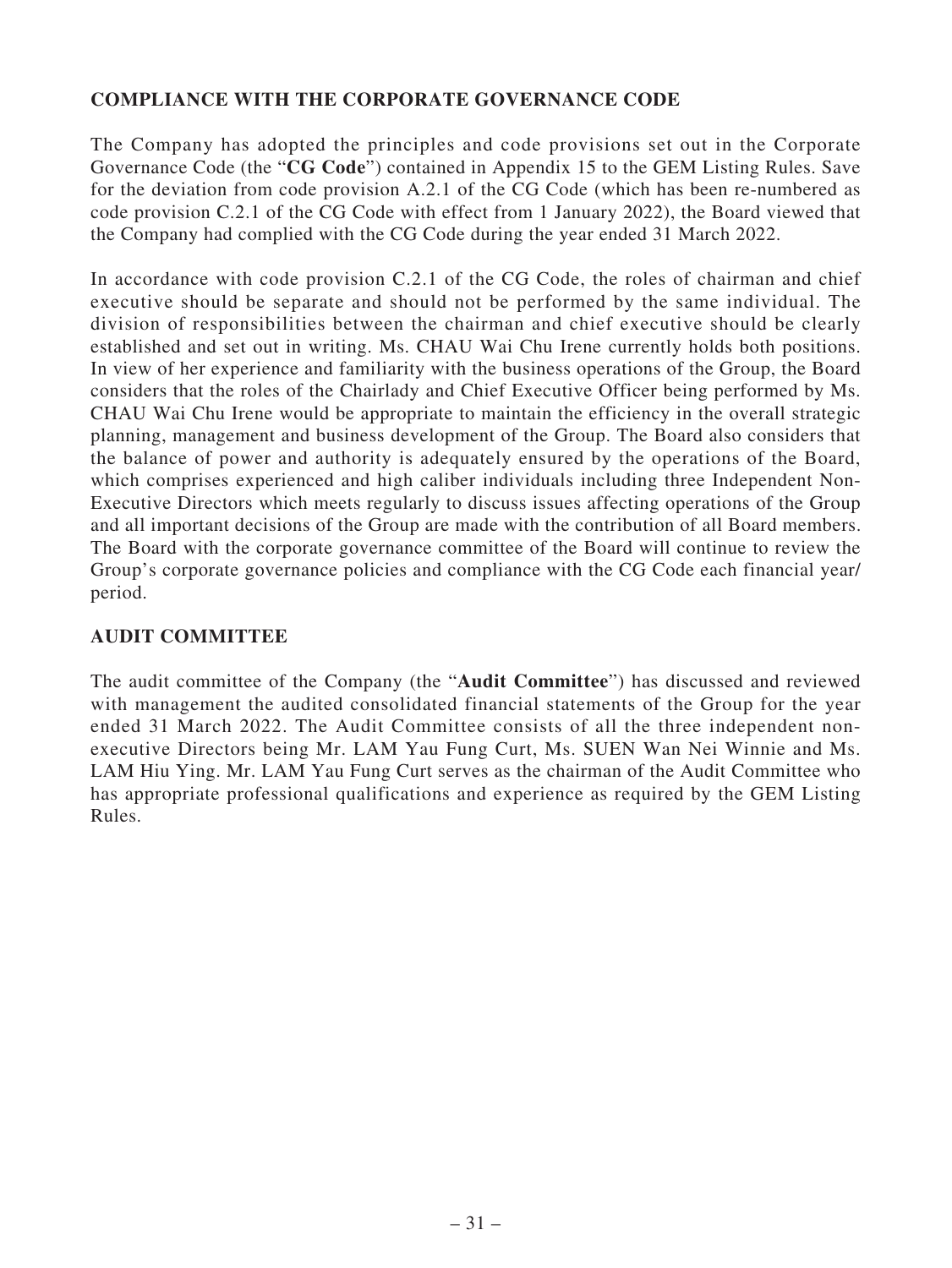## **COMPLIANCE WITH THE CORPORATE GOVERNANCE CODE**

The Company has adopted the principles and code provisions set out in the Corporate Governance Code (the "**CG Code**") contained in Appendix 15 to the GEM Listing Rules. Save for the deviation from code provision A.2.1 of the CG Code (which has been re-numbered as code provision C.2.1 of the CG Code with effect from 1 January 2022), the Board viewed that the Company had complied with the CG Code during the year ended 31 March 2022.

In accordance with code provision C.2.1 of the CG Code, the roles of chairman and chief executive should be separate and should not be performed by the same individual. The division of responsibilities between the chairman and chief executive should be clearly established and set out in writing. Ms. CHAU Wai Chu Irene currently holds both positions. In view of her experience and familiarity with the business operations of the Group, the Board considers that the roles of the Chairlady and Chief Executive Officer being performed by Ms. CHAU Wai Chu Irene would be appropriate to maintain the efficiency in the overall strategic planning, management and business development of the Group. The Board also considers that the balance of power and authority is adequately ensured by the operations of the Board, which comprises experienced and high caliber individuals including three Independent Non-Executive Directors which meets regularly to discuss issues affecting operations of the Group and all important decisions of the Group are made with the contribution of all Board members. The Board with the corporate governance committee of the Board will continue to review the Group's corporate governance policies and compliance with the CG Code each financial year/ period.

## **AUDIT COMMITTEE**

The audit committee of the Company (the "**Audit Committee**") has discussed and reviewed with management the audited consolidated financial statements of the Group for the year ended 31 March 2022. The Audit Committee consists of all the three independent nonexecutive Directors being Mr. LAM Yau Fung Curt, Ms. SUEN Wan Nei Winnie and Ms. LAM Hiu Ying. Mr. LAM Yau Fung Curt serves as the chairman of the Audit Committee who has appropriate professional qualifications and experience as required by the GEM Listing Rules.